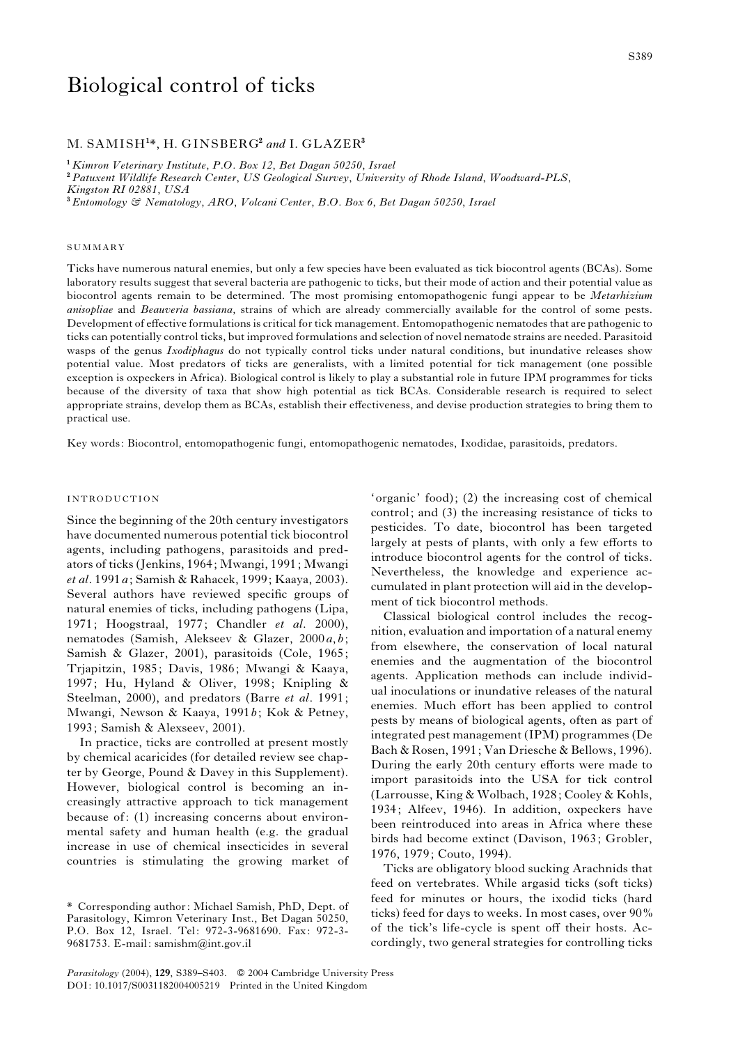# Biological control of ticks

# M. SAMISH<sup>1\*</sup>, H. GINSBERG<sup>2</sup> and I. GLAZER<sup>3</sup>

<sup>1</sup> Kimron Veterinary Institute, P.O. Box 12, Bet Dagan 50250, Israel

<sup>2</sup> Patuxent Wildlife Research Center, US Geological Survey, University of Rhode Island, Woodward-PLS,

Kingston RI 02881, USA

<sup>3</sup> Entomology & Nematology, ARO, Volcani Center, B.O. Box 6, Bet Dagan 50250, Israel

### SUMMARY

Ticks have numerous natural enemies, but only a few species have been evaluated as tick biocontrol agents (BCAs). Some laboratory results suggest that several bacteria are pathogenic to ticks, but their mode of action and their potential value as biocontrol agents remain to be determined. The most promising entomopathogenic fungi appear to be Metarhizium anisopliae and Beauveria bassiana, strains of which are already commercially available for the control of some pests. Development of effective formulations is critical for tick management. Entomopathogenic nematodes that are pathogenic to ticks can potentially control ticks, but improved formulations and selection of novel nematode strains are needed. Parasitoid wasps of the genus *Ixodiphagus* do not typically control ticks under natural conditions, but inundative releases show potential value. Most predators of ticks are generalists, with a limited potential for tick management (one possible exception is oxpeckers in Africa). Biological control is likely to play a substantial role in future IPM programmes for ticks because of the diversity of taxa that show high potential as tick BCAs. Considerable research is required to select appropriate strains, develop them as BCAs, establish their effectiveness, and devise production strategies to bring them to practical use.

Key words: Biocontrol, entomopathogenic fungi, entomopathogenic nematodes, Ixodidae, parasitoids, predators.

# INTRODUCTION

Since the beginning of the 20th century investigators have documented numerous potential tick biocontrol agents, including pathogens, parasitoids and predators of ticks (Jenkins, 1964; Mwangi, 1991; Mwangi et al. 1991a; Samish & Rahacek, 1999; Kaaya, 2003). Several authors have reviewed specific groups of natural enemies of ticks, including pathogens (Lipa, 1971; Hoogstraal, 1977; Chandler et al. 2000), nematodes (Samish, Alekseev & Glazer, 2000a, b; Samish & Glazer, 2001), parasitoids (Cole, 1965; Trjapitzin, 1985; Davis, 1986; Mwangi & Kaaya, 1997; Hu, Hyland & Oliver, 1998; Knipling & Steelman, 2000), and predators (Barre et al. 1991; Mwangi, Newson & Kaaya, 1991b; Kok & Petney, 1993; Samish & Alexseev, 2001).

In practice, ticks are controlled at present mostly by chemical acaricides (for detailed review see chapter by George, Pound & Davey in this Supplement). However, biological control is becoming an increasingly attractive approach to tick management because of: (1) increasing concerns about environmental safety and human health (e.g. the gradual increase in use of chemical insecticides in several countries is stimulating the growing market of

'organic' food); (2) the increasing cost of chemical control; and (3) the increasing resistance of ticks to pesticides. To date, biocontrol has been targeted largely at pests of plants, with only a few efforts to introduce biocontrol agents for the control of ticks. Nevertheless, the knowledge and experience accumulated in plant protection will aid in the development of tick biocontrol methods.

Classical biological control includes the recognition, evaluation and importation of a natural enemy from elsewhere, the conservation of local natural enemies and the augmentation of the biocontrol agents. Application methods can include individual inoculations or inundative releases of the natural enemies. Much effort has been applied to control pests by means of biological agents, often as part of integrated pest management (IPM) programmes (De Bach & Rosen, 1991; Van Driesche & Bellows, 1996). During the early 20th century efforts were made to import parasitoids into the USA for tick control (Larrousse, King & Wolbach, 1928; Cooley & Kohls, 1934; Alfeev, 1946). In addition, oxpeckers have been reintroduced into areas in Africa where these birds had become extinct (Davison, 1963; Grobler, 1976, 1979; Couto, 1994).

Ticks are obligatory blood sucking Arachnids that feed on vertebrates. While argasid ticks (soft ticks) feed for minutes or hours, the ixodid ticks (hard ticks) feed for days to weeks. In most cases, over 90% of the tick's life-cycle is spent off their hosts. Accordingly, two general strategies for controlling ticks

<sup>\*</sup> Corresponding author: Michael Samish, PhD, Dept. of Parasitology, Kimron Veterinary Inst., Bet Dagan 50250, P.O. Box 12, Israel. Tel: 972-3-9681690. Fax: 972-3- 9681753. E-mail: samishm@int.gov.il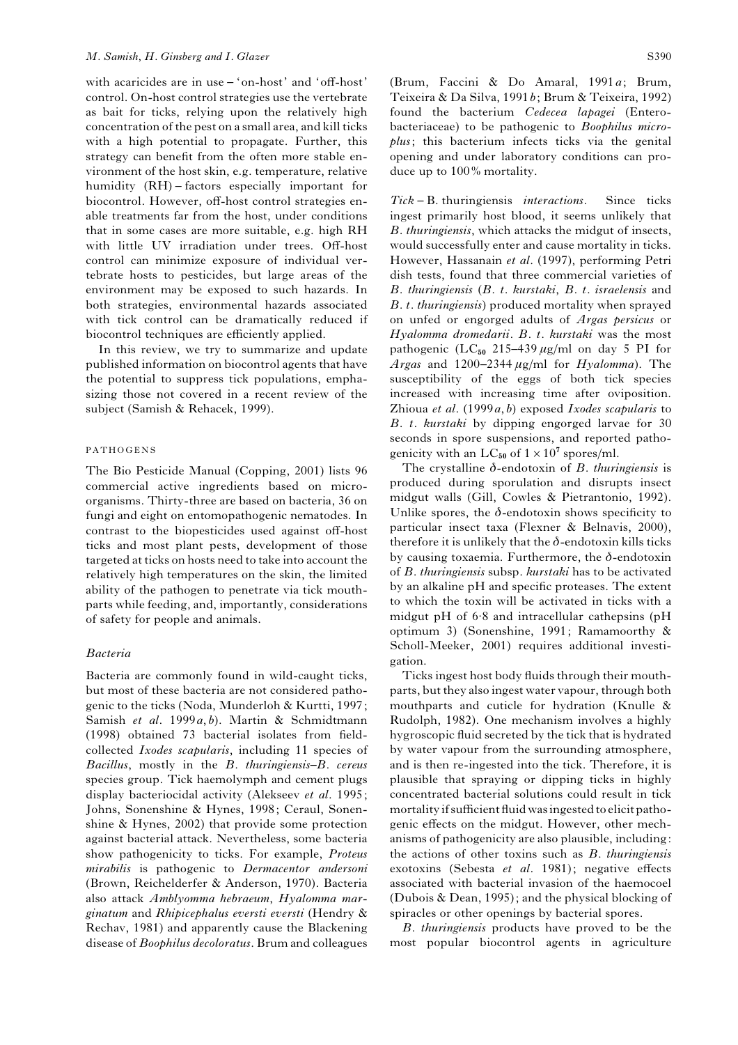with acaricides are in use – 'on-host' and 'off-host' control. On-host control strategies use the vertebrate as bait for ticks, relying upon the relatively high concentration of the pest on a small area, and kill ticks with a high potential to propagate. Further, this strategy can benefit from the often more stable environment of the host skin, e.g. temperature, relative humidity (RH) – factors especially important for biocontrol. However, off-host control strategies enable treatments far from the host, under conditions that in some cases are more suitable, e.g. high RH with little UV irradiation under trees. Off-host control can minimize exposure of individual vertebrate hosts to pesticides, but large areas of the environment may be exposed to such hazards. In both strategies, environmental hazards associated with tick control can be dramatically reduced if biocontrol techniques are efficiently applied.

In this review, we try to summarize and update published information on biocontrol agents that have the potential to suppress tick populations, emphasizing those not covered in a recent review of the subject (Samish & Rehacek, 1999).

### PATHOGENS

The Bio Pesticide Manual (Copping, 2001) lists 96 commercial active ingredients based on microorganisms. Thirty-three are based on bacteria, 36 on fungi and eight on entomopathogenic nematodes. In contrast to the biopesticides used against off-host ticks and most plant pests, development of those targeted at ticks on hosts need to take into account the relatively high temperatures on the skin, the limited ability of the pathogen to penetrate via tick mouthparts while feeding, and, importantly, considerations of safety for people and animals.

### Bacteria

Bacteria are commonly found in wild-caught ticks, but most of these bacteria are not considered pathogenic to the ticks (Noda, Munderloh & Kurtti, 1997; Samish et al. 1999a, b). Martin & Schmidtmann (1998) obtained 73 bacterial isolates from fieldcollected Ixodes scapularis, including 11 species of Bacillus, mostly in the B. thuringiensis–B. cereus species group. Tick haemolymph and cement plugs display bacteriocidal activity (Alekseev et al. 1995; Johns, Sonenshine & Hynes, 1998; Ceraul, Sonenshine & Hynes, 2002) that provide some protection against bacterial attack. Nevertheless, some bacteria show pathogenicity to ticks. For example, Proteus mirabilis is pathogenic to Dermacentor andersoni (Brown, Reichelderfer & Anderson, 1970). Bacteria also attack Amblyomma hebraeum, Hyalomma marginatum and Rhipicephalus eversti eversti (Hendry & Rechav, 1981) and apparently cause the Blackening disease of Boophilus decoloratus. Brum and colleagues

(Brum, Faccini & Do Amaral, 1991a; Brum, Teixeira & Da Silva, 1991b; Brum & Teixeira, 1992) found the bacterium Cedecea lapagei (Enterobacteriaceae) to be pathogenic to Boophilus microplus; this bacterium infects ticks via the genital opening and under laboratory conditions can produce up to 100% mortality.

Tick – B. thuringiensis *interactions*. Since ticks ingest primarily host blood, it seems unlikely that B. thuringiensis, which attacks the midgut of insects, would successfully enter and cause mortality in ticks. However, Hassanain et al. (1997), performing Petri dish tests, found that three commercial varieties of B. thuringiensis (B. t. kurstaki, B. t. israelensis and B. t. thuringiensis) produced mortality when sprayed on unfed or engorged adults of Argas persicus or Hyalomma dromedarii. B. t. kurstaki was the most pathogenic (LC<sub>50</sub> 215–439  $\mu$ g/ml on day 5 PI for Argas and 1200–2344  $\mu$ g/ml for Hyalomma). The susceptibility of the eggs of both tick species increased with increasing time after oviposition. Zhioua et al.  $(1999a, b)$  exposed Ixodes scapularis to B. t. kurstaki by dipping engorged larvae for 30 seconds in spore suspensions, and reported pathogenicity with an  $LC_{50}$  of  $1 \times 10^7$  spores/ml.

The crystalline  $\delta$ -endotoxin of B. thuringiensis is produced during sporulation and disrupts insect midgut walls (Gill, Cowles & Pietrantonio, 1992). Unlike spores, the  $\delta$ -endotoxin shows specificity to particular insect taxa (Flexner & Belnavis, 2000), therefore it is unlikely that the  $\delta$ -endotoxin kills ticks by causing toxaemia. Furthermore, the  $\delta$ -endotoxin of B. thuringiensis subsp. kurstaki has to be activated by an alkaline pH and specific proteases. The extent to which the toxin will be activated in ticks with a midgut pH of 6. 8 and intracellular cathepsins (pH optimum 3) (Sonenshine, 1991; Ramamoorthy & Scholl-Meeker, 2001) requires additional investigation.

Ticks ingest host body fluids through their mouthparts, but they also ingest water vapour, through both mouthparts and cuticle for hydration (Knulle & Rudolph, 1982). One mechanism involves a highly hygroscopic fluid secreted by the tick that is hydrated by water vapour from the surrounding atmosphere, and is then re-ingested into the tick. Therefore, it is plausible that spraying or dipping ticks in highly concentrated bacterial solutions could result in tick mortalityif sufficient fluid wasingested to elicit pathogenic effects on the midgut. However, other mechanisms of pathogenicity are also plausible, including: the actions of other toxins such as  $B$ . thuringiensis exotoxins (Sebesta et al. 1981); negative effects associated with bacterial invasion of the haemocoel (Dubois & Dean, 1995); and the physical blocking of spiracles or other openings by bacterial spores.

B. thuringiensis products have proved to be the most popular biocontrol agents in agriculture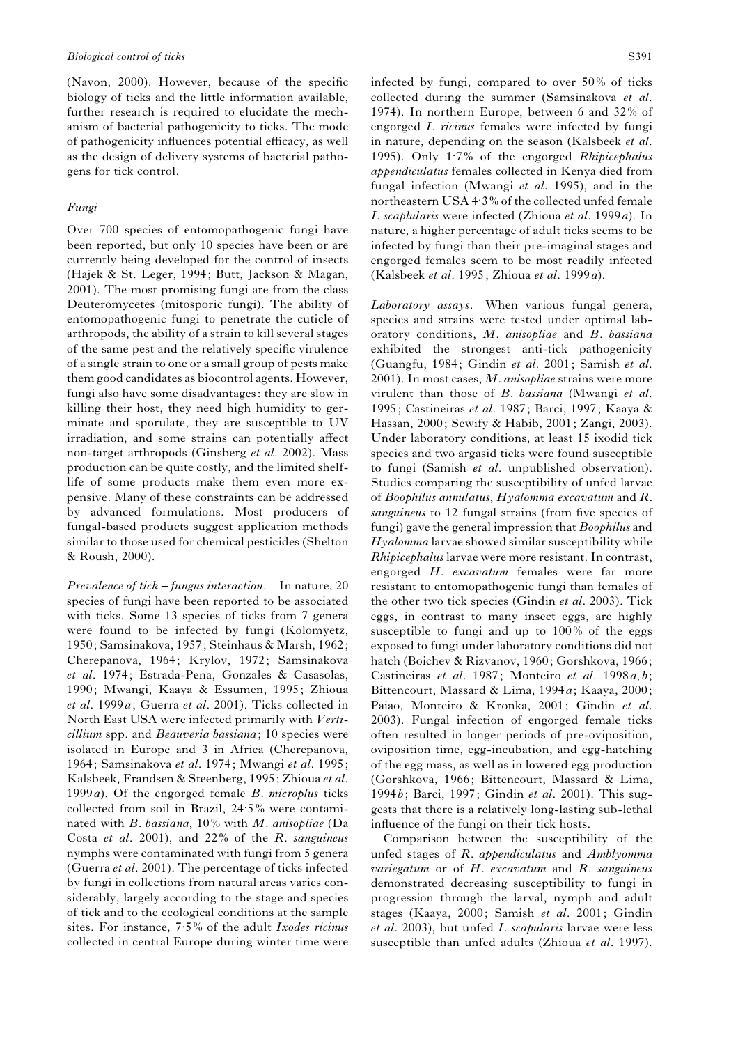(Navon, 2000). However, because of the specific biology of ticks and the little information available, further research is required to elucidate the mechanism of bacterial pathogenicity to ticks. The mode of pathogenicity influences potential efficacy, as well as the design of delivery systems of bacterial pathogens for tick control.

# Fungi

Over 700 species of entomopathogenic fungi have been reported, but only 10 species have been or are currently being developed for the control of insects (Hajek & St. Leger, 1994; Butt, Jackson & Magan, 2001). The most promising fungi are from the class Deuteromycetes (mitosporic fungi). The ability of entomopathogenic fungi to penetrate the cuticle of arthropods, the ability of a strain to kill several stages of the same pest and the relatively specific virulence of a single strain to one or a small group of pests make them good candidates as biocontrol agents. However, fungi also have some disadvantages: they are slow in killing their host, they need high humidity to germinate and sporulate, they are susceptible to UV irradiation, and some strains can potentially affect non-target arthropods (Ginsberg et al. 2002). Mass production can be quite costly, and the limited shelflife of some products make them even more expensive. Many of these constraints can be addressed by advanced formulations. Most producers of fungal-based products suggest application methods similar to those used for chemical pesticides (Shelton & Roush, 2000).

Prevalence of tick – fungus interaction. In nature, 20 species of fungi have been reported to be associated with ticks. Some 13 species of ticks from 7 genera were found to be infected by fungi (Kolomyetz, 1950; Samsinakova, 1957; Steinhaus & Marsh, 1962; Cherepanova, 1964; Krylov, 1972; Samsinakova et al. 1974; Estrada-Pena, Gonzales & Casasolas, 1990; Mwangi, Kaaya & Essumen, 1995; Zhioua et al. 1999a; Guerra et al. 2001). Ticks collected in North East USA were infected primarily with Verticillium spp. and Beauveria bassiana; 10 species were isolated in Europe and 3 in Africa (Cherepanova, 1964; Samsinakova et al. 1974; Mwangi et al. 1995; Kalsbeek, Frandsen & Steenberg, 1995; Zhioua et al. 1999 $a$ ). Of the engorged female  $B$ . microplus ticks collected from soil in Brazil, 24. 5% were contaminated with B. bassiana, 10% with M. anisopliae (Da Costa *et al.* 2001), and  $22\%$  of the R. sanguineus nymphs were contaminated with fungi from 5 genera (Guerra et al. 2001). The percentage of ticks infected by fungi in collections from natural areas varies considerably, largely according to the stage and species of tick and to the ecological conditions at the sample sites. For instance,  $7.5\%$  of the adult Ixodes ricinus collected in central Europe during winter time were

infected by fungi, compared to over 50% of ticks collected during the summer (Samsinakova et al. 1974). In northern Europe, between 6 and 32% of engorged *I. ricinus* females were infected by fungi in nature, depending on the season (Kalsbeek et al. 1995). Only 1.7% of the engorged Rhipicephalus appendiculatus females collected in Kenya died from fungal infection (Mwangi et al. 1995), and in the northeastern USA 4. 3% of the collected unfed female I. scaplularis were infected (Zhioua et al. 1999a). In nature, a higher percentage of adult ticks seems to be infected by fungi than their pre-imaginal stages and engorged females seem to be most readily infected (Kalsbeek et al. 1995; Zhioua et al. 1999a).

Laboratory assays. When various fungal genera, species and strains were tested under optimal laboratory conditions, M. anisopliae and B. bassiana exhibited the strongest anti-tick pathogenicity (Guangfu, 1984; Gindin et al. 2001; Samish et al.  $2001$ ). In most cases, M. anisopliae strains were more virulent than those of B. bassiana (Mwangi et al. 1995; Castineiras et al. 1987; Barci, 1997; Kaaya & Hassan, 2000; Sewify & Habib, 2001; Zangi, 2003). Under laboratory conditions, at least 15 ixodid tick species and two argasid ticks were found susceptible to fungi (Samish et al. unpublished observation). Studies comparing the susceptibility of unfed larvae of Boophilus annulatus, Hyalomma excavatum and R. sanguineus to 12 fungal strains (from five species of fungi) gave the general impression that Boophilus and Hyalomma larvae showed similar susceptibility while Rhipicephalus larvae were more resistant. In contrast, engorged H. excavatum females were far more resistant to entomopathogenic fungi than females of the other two tick species (Gindin et al. 2003). Tick eggs, in contrast to many insect eggs, are highly susceptible to fungi and up to 100% of the eggs exposed to fungi under laboratory conditions did not hatch (Boichev & Rizvanov, 1960; Gorshkova, 1966; Castineiras et al. 1987; Monteiro et al. 1998a, b; Bittencourt, Massard & Lima, 1994a; Kaaya, 2000; Paiao, Monteiro & Kronka, 2001; Gindin et al. 2003). Fungal infection of engorged female ticks often resulted in longer periods of pre-oviposition, oviposition time, egg-incubation, and egg-hatching of the egg mass, as well as in lowered egg production (Gorshkova, 1966; Bittencourt, Massard & Lima, 1994b; Barci, 1997; Gindin et al. 2001). This suggests that there is a relatively long-lasting sub-lethal influence of the fungi on their tick hosts.

Comparison between the susceptibility of the unfed stages of R. appendiculatus and Amblyomma variegatum or of H. excavatum and R. sanguineus demonstrated decreasing susceptibility to fungi in progression through the larval, nymph and adult stages (Kaaya, 2000; Samish et al. 2001; Gindin et al. 2003), but unfed  $I.$  scapularis larvae were less susceptible than unfed adults (Zhioua et al. 1997).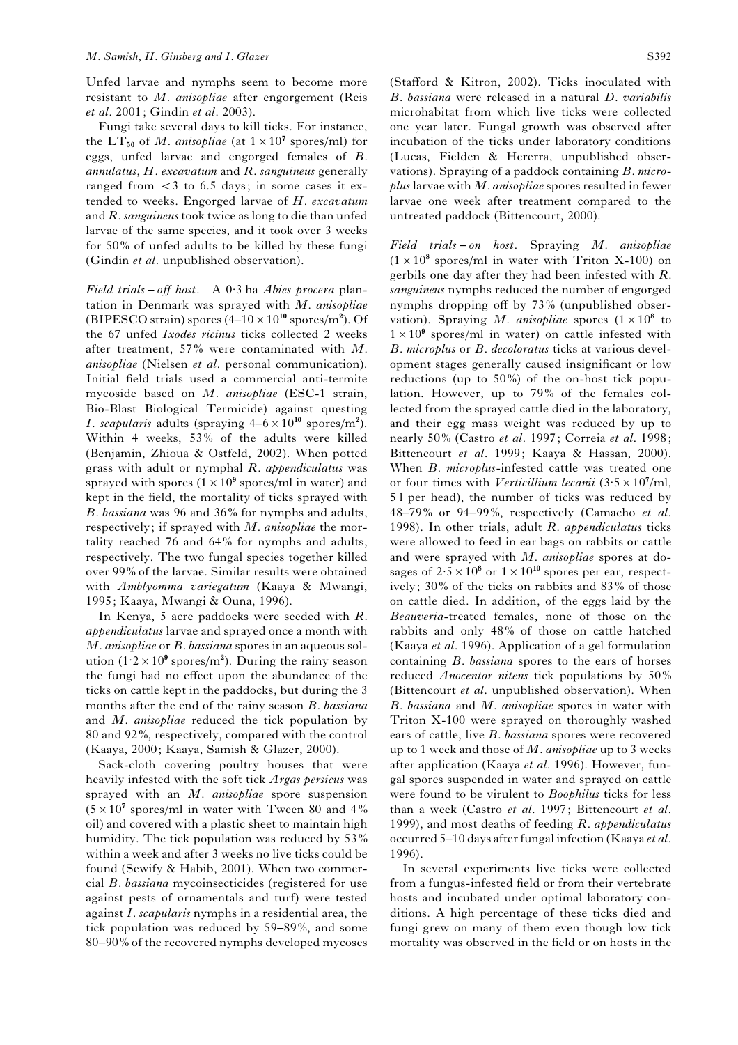Unfed larvae and nymphs seem to become more resistant to M. anisopliae after engorgement (Reis et al. 2001; Gindin et al. 2003).

Fungi take several days to kill ticks. For instance, the LT<sub>50</sub> of *M. anisopliae* (at  $1 \times 10^7$  spores/ml) for eggs, unfed larvae and engorged females of B.  $annulatus, H. excavatum$  and  $R. saneuineus$  generally ranged from  $\lt 3$  to 6.5 days; in some cases it extended to weeks. Engorged larvae of  $H$ . excavatum and R. sanguineus took twice as long to die than unfed larvae of the same species, and it took over 3 weeks for 50% of unfed adults to be killed by these fungi (Gindin et al. unpublished observation).

Field trials – off host. A 0. 3 ha Abies procera plantation in Denmark was sprayed with  $M$ . anisopliae (BIPESCO strain) spores  $(4-10 \times 10^{10} \text{ spores/m}^2)$ . Of the 67 unfed Ixodes ricinus ticks collected 2 weeks after treatment, 57% were contaminated with M. anisopliae (Nielsen et al. personal communication). Initial field trials used a commercial anti-termite mycoside based on M. anisopliae (ESC-1 strain, Bio-Blast Biological Termicide) against questing *I. scapularis* adults (spraying  $4-6 \times 10^{10}$  spores/m<sup>2</sup>). Within 4 weeks, 53% of the adults were killed (Benjamin, Zhioua & Ostfeld, 2002). When potted grass with adult or nymphal  $R$ . appendiculatus was sprayed with spores  $(1 \times 10^9$  spores/ml in water) and kept in the field, the mortality of ticks sprayed with B. bassiana was 96 and 36% for nymphs and adults, respectively; if sprayed with  $M$ . anisopliae the mortality reached 76 and 64% for nymphs and adults, respectively. The two fungal species together killed over 99% of the larvae. Similar results were obtained with Amblyomma variegatum (Kaaya & Mwangi, 1995; Kaaya, Mwangi & Ouna, 1996).

In Kenya, 5 acre paddocks were seeded with R. appendiculatus larvae and sprayed once a month with M. anisopliae or B. bassiana spores in an aqueous solution  $(1.2 \times 10^9 \text{ spores/m}^2)$ . During the rainy season the fungi had no effect upon the abundance of the ticks on cattle kept in the paddocks, but during the 3 months after the end of the rainy season B. bassiana and M. anisopliae reduced the tick population by 80 and 92%, respectively, compared with the control (Kaaya, 2000; Kaaya, Samish & Glazer, 2000).

Sack-cloth covering poultry houses that were heavily infested with the soft tick Argas persicus was sprayed with an M. anisopliae spore suspension  $(5 \times 10^7 \text{ spores/ml in water with Tween 80 and 4\%})$ oil) and covered with a plastic sheet to maintain high humidity. The tick population was reduced by 53% within a week and after 3 weeks no live ticks could be found (Sewify & Habib, 2001). When two commercial B. bassiana mycoinsecticides (registered for use against pests of ornamentals and turf) were tested against I. scapularis nymphs in a residential area, the tick population was reduced by 59–89%, and some 80–90% of the recovered nymphs developed mycoses

(Stafford & Kitron, 2002). Ticks inoculated with B. bassiana were released in a natural D. variabilis microhabitat from which live ticks were collected one year later. Fungal growth was observed after incubation of the ticks under laboratory conditions (Lucas, Fielden & Hererra, unpublished observations). Spraying of a paddock containing B. microplus larvae with  $M$ . anisopliae spores resulted in fewer larvae one week after treatment compared to the untreated paddock (Bittencourt, 2000).

Field trials – on host. Spraying M. anisopliae  $(1 \times 10^8$  spores/ml in water with Triton X-100) on gerbils one day after they had been infested with R. sanguineus nymphs reduced the number of engorged nymphs dropping off by 73% (unpublished observation). Spraying M. anisopliae spores  $(1 \times 10^8$  to  $1 \times 10^9$  spores/ml in water) on cattle infested with B. microplus or B. decoloratus ticks at various development stages generally caused insignificant or low reductions (up to 50%) of the on-host tick population. However, up to 79% of the females collected from the sprayed cattle died in the laboratory, and their egg mass weight was reduced by up to nearly 50% (Castro *et al.* 1997; Correia *et al.* 1998; Bittencourt et al. 1999; Kaaya & Hassan, 2000). When B. microplus-infested cattle was treated one or four times with Verticillium lecanii  $(3.5 \times 10^7/\text{ml})$ , 5 l per head), the number of ticks was reduced by 48–79% or 94–99%, respectively (Camacho et al. 1998). In other trials, adult  $R$ . appendiculatus ticks were allowed to feed in ear bags on rabbits or cattle and were sprayed with M. anisopliae spores at dosages of  $2.5 \times 10^8$  or  $1 \times 10^{10}$  spores per ear, respectively; 30% of the ticks on rabbits and 83% of those on cattle died. In addition, of the eggs laid by the Beauveria-treated females, none of those on the rabbits and only 48% of those on cattle hatched (Kaaya et al. 1996). Application of a gel formulation containing B. bassiana spores to the ears of horses reduced Anocentor nitens tick populations by 50% (Bittencourt et al. unpublished observation). When B. bassiana and M. anisopliae spores in water with Triton X-100 were sprayed on thoroughly washed ears of cattle, live B. bassiana spores were recovered up to 1 week and those of  $M$ . anisopliae up to 3 weeks after application (Kaaya et al. 1996). However, fungal spores suspended in water and sprayed on cattle were found to be virulent to Boophilus ticks for less than a week (Castro et al. 1997; Bittencourt et al. 1999), and most deaths of feeding  $R$ . appendiculatus occurred 5–10 days after fungal infection (Kaaya et al. 1996).

In several experiments live ticks were collected from a fungus-infested field or from their vertebrate hosts and incubated under optimal laboratory conditions. A high percentage of these ticks died and fungi grew on many of them even though low tick mortality was observed in the field or on hosts in the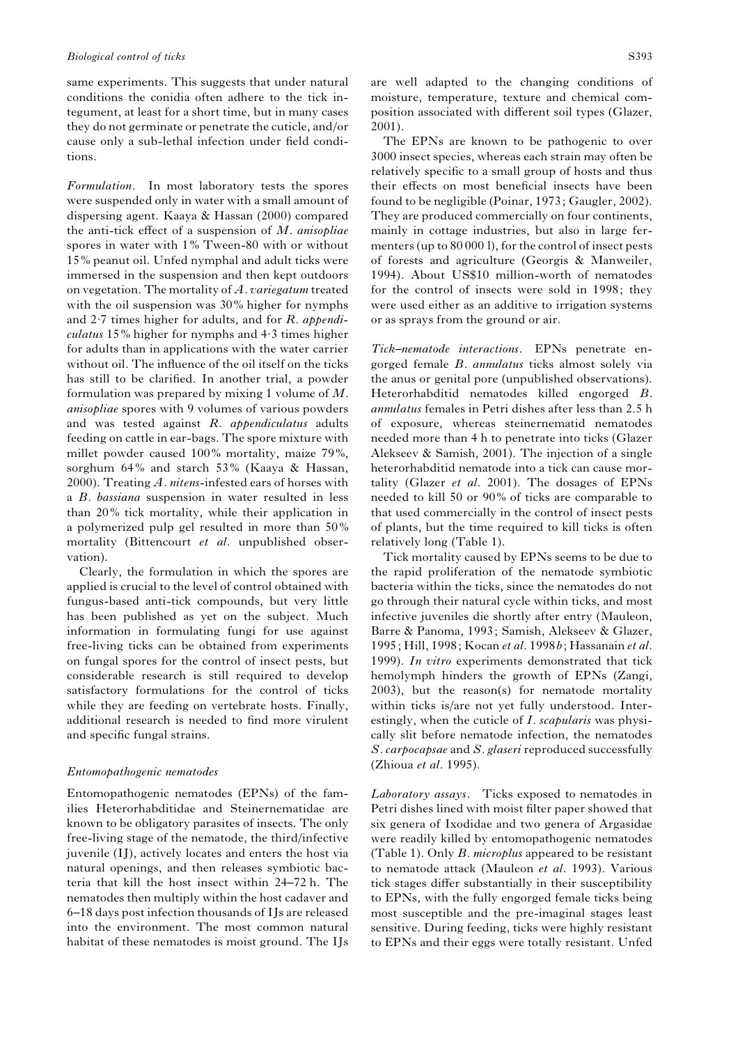same experiments. This suggests that under natural conditions the conidia often adhere to the tick integument, at least for a short time, but in many cases they do not germinate or penetrate the cuticle, and/or cause only a sub-lethal infection under field conditions.

Formulation. In most laboratory tests the spores were suspended only in water with a small amount of dispersing agent. Kaaya & Hassan (2000) compared the anti-tick effect of a suspension of  $M$ . anisopliae spores in water with 1% Tween-80 with or without 15% peanut oil. Unfed nymphal and adult ticks were immersed in the suspension and then kept outdoors on vegetation. The mortality of  $A$ . variegatum treated with the oil suspension was 30% higher for nymphs and 2.7 times higher for adults, and for  $R$ . appendiculatus 15% higher for nymphs and 4. 3 times higher for adults than in applications with the water carrier without oil. The influence of the oil itself on the ticks has still to be clarified. In another trial, a powder formulation was prepared by mixing 1 volume of  $M$ . anisopliae spores with 9 volumes of various powders and was tested against R. appendiculatus adults feeding on cattle in ear-bags. The spore mixture with millet powder caused 100% mortality, maize 79%, sorghum 64% and starch 53% (Kaaya & Hassan, 2000). Treating  $A$ . nitens-infested ears of horses with a B. bassiana suspension in water resulted in less than 20% tick mortality, while their application in a polymerized pulp gel resulted in more than 50% mortality (Bittencourt et al. unpublished observation).

Clearly, the formulation in which the spores are applied is crucial to the level of control obtained with fungus-based anti-tick compounds, but very little has been published as yet on the subject. Much information in formulating fungi for use against free-living ticks can be obtained from experiments on fungal spores for the control of insect pests, but considerable research is still required to develop satisfactory formulations for the control of ticks while they are feeding on vertebrate hosts. Finally, additional research is needed to find more virulent and specific fungal strains.

### Entomopathogenic nematodes

Entomopathogenic nematodes (EPNs) of the families Heterorhabditidae and Steinernematidae are known to be obligatory parasites of insects. The only free-living stage of the nematode, the third/infective juvenile (IJ), actively locates and enters the host via natural openings, and then releases symbiotic bacteria that kill the host insect within 24–72 h. The nematodes then multiply within the host cadaver and 6–18 days post infection thousands of IJs are released into the environment. The most common natural habitat of these nematodes is moist ground. The IJs

are well adapted to the changing conditions of moisture, temperature, texture and chemical composition associated with different soil types (Glazer, 2001).

The EPNs are known to be pathogenic to over 3000 insect species, whereas each strain may often be relatively specific to a small group of hosts and thus their effects on most beneficial insects have been found to be negligible (Poinar, 1973; Gaugler, 2002). They are produced commercially on four continents, mainly in cottage industries, but also in large fermenters (up to 80 000 l), for the control of insect pests of forests and agriculture (Georgis & Manweiler, 1994). About US\$10 million-worth of nematodes for the control of insects were sold in 1998; they were used either as an additive to irrigation systems or as sprays from the ground or air.

Tick–nematode interactions. EPNs penetrate engorged female B. annulatus ticks almost solely via the anus or genital pore (unpublished observations). Heterorhabditid nematodes killed engorged B. annulatus females in Petri dishes after less than 2.5 h of exposure, whereas steinernematid nematodes needed more than 4 h to penetrate into ticks (Glazer Alekseev & Samish, 2001). The injection of a single heterorhabditid nematode into a tick can cause mortality (Glazer *et al.* 2001). The dosages of EPNs needed to kill 50 or 90% of ticks are comparable to that used commercially in the control of insect pests of plants, but the time required to kill ticks is often relatively long (Table 1).

Tick mortality caused by EPNs seems to be due to the rapid proliferation of the nematode symbiotic bacteria within the ticks, since the nematodes do not go through their natural cycle within ticks, and most infective juveniles die shortly after entry (Mauleon, Barre & Panoma, 1993; Samish, Alekseev & Glazer, 1995; Hill, 1998; Kocan et al. 1998b; Hassanain et al. 1999). In vitro experiments demonstrated that tick hemolymph hinders the growth of EPNs (Zangi, 2003), but the reason(s) for nematode mortality within ticks is/are not yet fully understood. Interestingly, when the cuticle of *I. scapularis* was physically slit before nematode infection, the nematodes S. carpocapsae and S. glaseri reproduced successfully (Zhioua et al. 1995).

Laboratory assays. Ticks exposed to nematodes in Petri dishes lined with moist filter paper showed that six genera of Ixodidae and two genera of Argasidae were readily killed by entomopathogenic nematodes (Table 1). Only B. microplus appeared to be resistant to nematode attack (Mauleon et al. 1993). Various tick stages differ substantially in their susceptibility to EPNs, with the fully engorged female ticks being most susceptible and the pre-imaginal stages least sensitive. During feeding, ticks were highly resistant to EPNs and their eggs were totally resistant. Unfed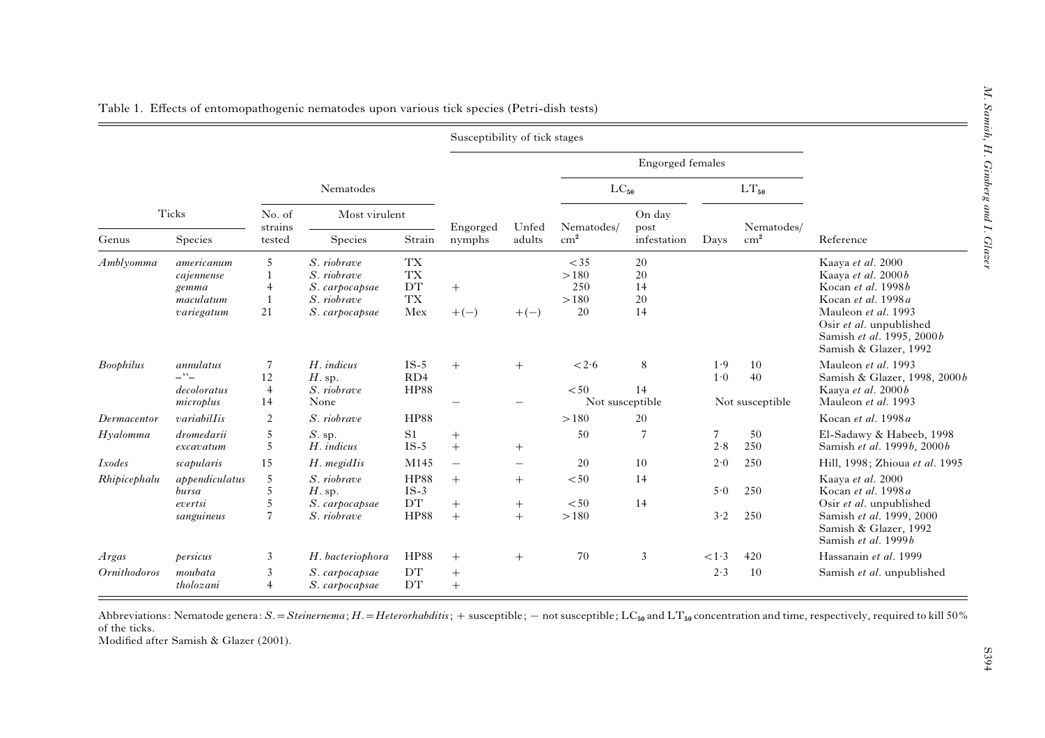|                  |                |                                    |                      |                | Susceptibility of tick stages |                 |                  |                |                 |                 |                                                                                                      |
|------------------|----------------|------------------------------------|----------------------|----------------|-------------------------------|-----------------|------------------|----------------|-----------------|-----------------|------------------------------------------------------------------------------------------------------|
|                  |                |                                    |                      |                |                               |                 | Engorged females |                |                 |                 |                                                                                                      |
|                  |                |                                    | Nematodes            |                | Engorged                      | Unfed           | $LC_{50}$        |                | $LT_{50}$       |                 |                                                                                                      |
| Ticks            |                | Most virulent<br>No. of<br>strains |                      |                |                               |                 | Nematodes/       | On day<br>post |                 | Nematodes/      |                                                                                                      |
| Genus            | Species        | tested                             | Species              | Strain         | nymphs                        | adults          | cm <sup>2</sup>  | infestation    | Days            | cm <sup>2</sup> | Reference                                                                                            |
| Amblyomma        | americanum     | 5                                  | S. riobrave          | TX             |                               |                 | $<$ 35           | 20             |                 |                 | Kaaya et al. 2000                                                                                    |
|                  | cajennense     | $\mathbf{1}$                       | S. riobrave          | <b>TX</b>      |                               |                 | >180             | 20             |                 |                 | Kaaya et al. 2000b                                                                                   |
|                  | gemma          | $\overline{4}$                     | S. carpocapsae       | DT             | $^{+}$                        |                 | 250              | 14             |                 |                 | Kocan et al. 1998b                                                                                   |
|                  | maculatum      | $\mathbf{1}$                       | S. riobrave          | <b>TX</b>      |                               |                 | >180             | 20             |                 |                 | Kocan et al. 1998 a                                                                                  |
|                  | variegatum     | 21                                 | S. carpocapsae       | Mex            | $+(-)$                        | $+(-)$          | 20               | 14             |                 |                 | Mauleon et al. 1993<br>Osir et al. unpublished<br>Samish et al. 1995, 2000b<br>Samish & Glazer, 1992 |
| <b>Boophilus</b> | annulatus      | 7                                  | $H$ . <i>indicus</i> | $IS-5$         | $^{+}$                        | $^{+}$          | < 2.6            | 8              | 1.9             | 10              | Mauleon et al. 1993                                                                                  |
|                  | $-$ '' $-$     | 12                                 | $H.$ sp.             | RD4            |                               |                 |                  |                | 1.0             | 40              | Samish & Glazer, 1998, 2000b                                                                         |
|                  | decoloratus    | $\overline{4}$                     | S. riobrave          | <b>HP88</b>    |                               |                 | < 50             | 14             |                 |                 | Kaaya et al. 2000b                                                                                   |
|                  | microplus      | 14                                 | None                 |                |                               |                 | Not susceptible  |                | Not susceptible |                 | Mauleon et al. 1993                                                                                  |
| Dermacentor      | variable       | $\overline{2}$                     | S. riobrave          | <b>HP88</b>    |                               |                 | >180             | 20             |                 |                 | Kocan et al. 1998 a                                                                                  |
| Hyalomma         | dromedarii     | 5                                  | $S.$ sp.             | S <sub>1</sub> | $^{+}$                        |                 | 50               | $\overline{7}$ | 7               | 50              | El-Sadawy & Habeeb, 1998                                                                             |
|                  | excavatum      | 5                                  | $H.$ indicus         | $IS-5$         | $+$                           | $^{+}$          |                  |                | 2.8             | 250             | Samish et al. 1999b, 2000b                                                                           |
| Ixodes           | scapularis     | 15                                 | $H.$ megidlis        | M145           | $\overline{\phantom{0}}$      | $\qquad \qquad$ | 20               | 10             | 2.0             | 250             | Hill, 1998; Zhioua et al. 1995                                                                       |
| Rhipicephalu     | appendiculatus | 5                                  | S. riobrave          | <b>HP88</b>    | $+$                           | $+$             | < 50             | 14             |                 |                 | Kaaya et al. 2000                                                                                    |
|                  | bursa          | 5                                  | $H.$ sp.             | $IS-3$         |                               |                 |                  |                | 5.0             | 250             | Kocan et al. 1998 a                                                                                  |
|                  | evertsi        | 5                                  | S. carpocapsae       | DT             | $^{+}$                        | $^{+}$          | < 50             | 14             |                 |                 | Osir et al. unpublished                                                                              |
|                  | sanguineus     | 7                                  | S. riobrave          | <b>HP88</b>    | $+$                           | $^{+}$          | >180             |                | $3\cdot 2$      | 250             | Samish et al. 1999, 2000<br>Samish & Glazer, 1992<br>Samish et al. 1999b                             |
| <i>Argas</i>     | persicus       | 3                                  | H. bacteriophora     | <b>HP88</b>    | $+$                           | $^{+}$          | 70               | 3              | <1.3            | 420             | Hassanain et al. 1999                                                                                |
| Ornithodoros     | moubata        | 3                                  | S. carpocapsae       | DT             | $^{+}$                        |                 |                  |                | 2.3             | 10              | Samish et al. unpublished                                                                            |
|                  | tholozani      | $\overline{4}$                     | S. carpocapsae       | DT             | $+$                           |                 |                  |                |                 |                 |                                                                                                      |

# Table 1. Effects of entomopathogenic nematodes upon various tick species (Petri-dish tests)

Abbreviations: Nematode genera: *S. = Steinernema*; *H. = Heterorhabditis*; + susceptible; — not susceptible; LC<sub>50</sub> and LT<sub>50</sub> concentration and time, respectively, required to kill 50% of the ticks.

Modified after Samish & Glazer (2001).

 $\equiv$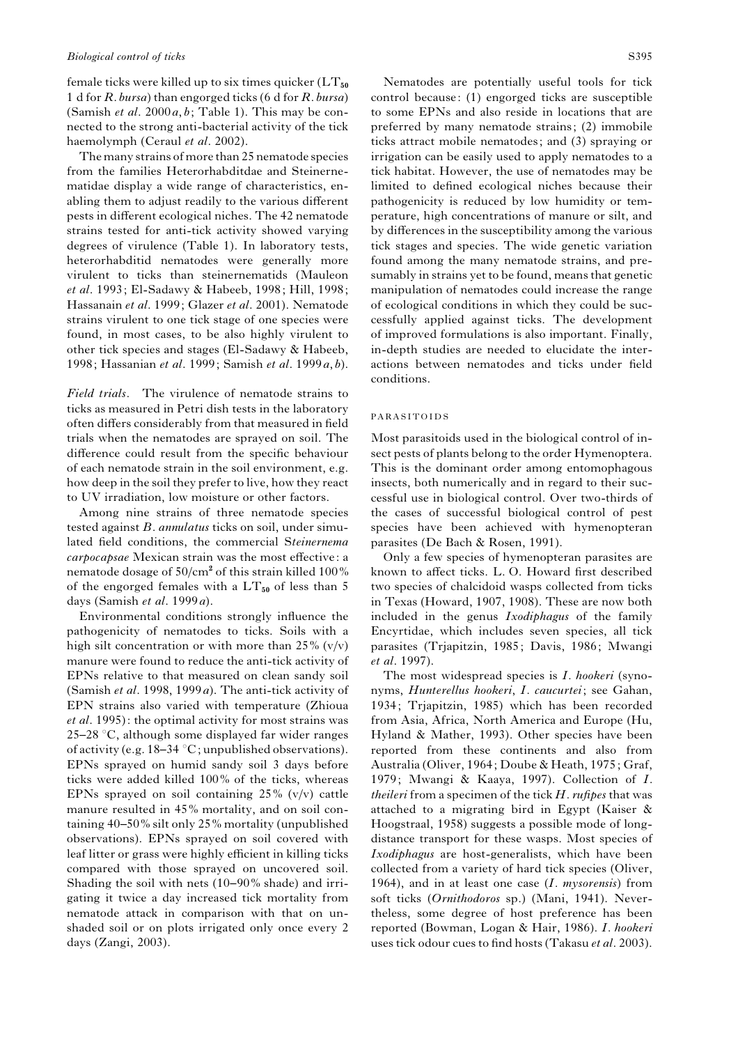female ticks were killed up to six times quicker  $(LT_{50})$ 1 d for R. bursa) than engorged ticks (6 d for R. bursa) (Samish et al.  $2000a, b$ ; Table 1). This may be connected to the strong anti-bacterial activity of the tick haemolymph (Ceraul et al. 2002).

The many strains of more than 25 nematode species from the families Heterorhabditdae and Steinernematidae display a wide range of characteristics, enabling them to adjust readily to the various different pests in different ecological niches. The 42 nematode strains tested for anti-tick activity showed varying degrees of virulence (Table 1). In laboratory tests, heterorhabditid nematodes were generally more virulent to ticks than steinernematids (Mauleon et al. 1993; El-Sadawy & Habeeb, 1998; Hill, 1998; Hassanain et al. 1999; Glazer et al. 2001). Nematode strains virulent to one tick stage of one species were found, in most cases, to be also highly virulent to other tick species and stages (El-Sadawy & Habeeb, 1998; Hassanian et al. 1999; Samish et al. 1999a, b).

Field trials. The virulence of nematode strains to ticks as measured in Petri dish tests in the laboratory often differs considerably from that measured in field trials when the nematodes are sprayed on soil. The difference could result from the specific behaviour of each nematode strain in the soil environment, e.g. how deep in the soil they prefer to live, how they react to UV irradiation, low moisture or other factors.

Among nine strains of three nematode species tested against B. annulatus ticks on soil, under simulated field conditions, the commercial Steinernema carpocapsae Mexican strain was the most effective: a nematode dosage of 50/cm<sup>2</sup> of this strain killed 100% of the engorged females with a  $LT_{50}$  of less than 5 days (Samish et al. 1999a).

Environmental conditions strongly influence the pathogenicity of nematodes to ticks. Soils with a high silt concentration or with more than  $25\%$  (v/v) manure were found to reduce the anti-tick activity of EPNs relative to that measured on clean sandy soil (Samish et al. 1998, 1999a). The anti-tick activity of EPN strains also varied with temperature (Zhioua et al. 1995): the optimal activity for most strains was 25–28  $\degree$ C, although some displayed far wider ranges of activity (e.g.  $18-34$  °C; unpublished observations). EPNs sprayed on humid sandy soil 3 days before ticks were added killed 100% of the ticks, whereas EPNs sprayed on soil containing  $25\%$  (v/v) cattle manure resulted in 45% mortality, and on soil containing 40–50% silt only 25% mortality (unpublished observations). EPNs sprayed on soil covered with leaf litter or grass were highly efficient in killing ticks compared with those sprayed on uncovered soil. Shading the soil with nets (10–90% shade) and irrigating it twice a day increased tick mortality from nematode attack in comparison with that on unshaded soil or on plots irrigated only once every 2 days (Zangi, 2003).

Nematodes are potentially useful tools for tick control because: (1) engorged ticks are susceptible to some EPNs and also reside in locations that are preferred by many nematode strains; (2) immobile ticks attract mobile nematodes; and (3) spraying or irrigation can be easily used to apply nematodes to a tick habitat. However, the use of nematodes may be limited to defined ecological niches because their pathogenicity is reduced by low humidity or temperature, high concentrations of manure or silt, and by differences in the susceptibility among the various tick stages and species. The wide genetic variation found among the many nematode strains, and presumably in strains yet to be found, means that genetic manipulation of nematodes could increase the range of ecological conditions in which they could be successfully applied against ticks. The development of improved formulations is also important. Finally, in-depth studies are needed to elucidate the interactions between nematodes and ticks under field conditions.

### PARASITOIDS

Most parasitoids used in the biological control of insect pests of plants belong to the order Hymenoptera. This is the dominant order among entomophagous insects, both numerically and in regard to their successful use in biological control. Over two-thirds of the cases of successful biological control of pest species have been achieved with hymenopteran parasites (De Bach & Rosen, 1991).

Only a few species of hymenopteran parasites are known to affect ticks. L. O. Howard first described two species of chalcidoid wasps collected from ticks in Texas (Howard, 1907, 1908). These are now both included in the genus Ixodiphagus of the family Encyrtidae, which includes seven species, all tick parasites (Trjapitzin, 1985; Davis, 1986; Mwangi et al. 1997).

The most widespread species is *I. hookeri* (synonyms, Hunterellus hookeri, I. caucurtei; see Gahan, 1934; Trjapitzin, 1985) which has been recorded from Asia, Africa, North America and Europe (Hu, Hyland & Mather, 1993). Other species have been reported from these continents and also from Australia (Oliver, 1964; Doube & Heath, 1975; Graf, 1979; Mwangi & Kaaya, 1997). Collection of I. theileri from a specimen of the tick  $H$ . rufipes that was attached to a migrating bird in Egypt (Kaiser & Hoogstraal, 1958) suggests a possible mode of longdistance transport for these wasps. Most species of Ixodiphagus are host-generalists, which have been collected from a variety of hard tick species (Oliver, 1964), and in at least one case  $(I.$  mysorensis) from soft ticks (Ornithodoros sp.) (Mani, 1941). Nevertheless, some degree of host preference has been reported (Bowman, Logan & Hair, 1986). I. hookeri uses tick odour cues to find hosts (Takasu et al. 2003).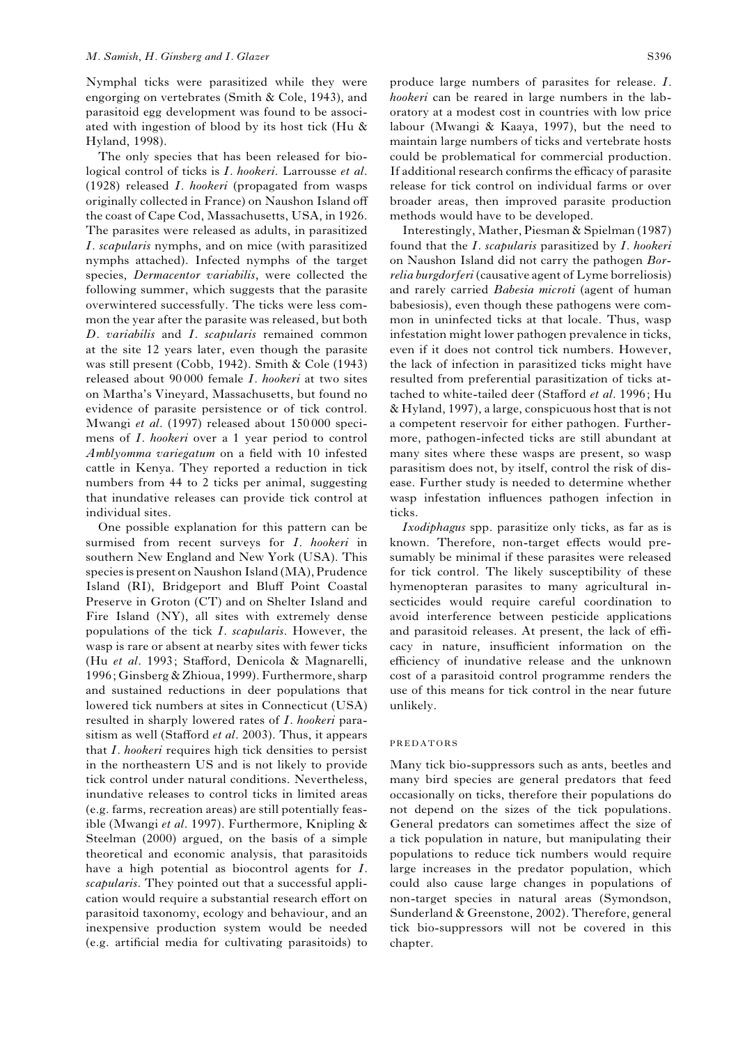Nymphal ticks were parasitized while they were engorging on vertebrates (Smith & Cole, 1943), and parasitoid egg development was found to be associated with ingestion of blood by its host tick (Hu & Hyland, 1998).

The only species that has been released for biological control of ticks is I. hookeri. Larrousse et al. (1928) released I. hookeri (propagated from wasps originally collected in France) on Naushon Island off the coast of Cape Cod, Massachusetts, USA, in 1926. The parasites were released as adults, in parasitized I. scapularis nymphs, and on mice (with parasitized nymphs attached). Infected nymphs of the target species, Dermacentor variabilis, were collected the following summer, which suggests that the parasite overwintered successfully. The ticks were less common the year after the parasite was released, but both D. variabilis and I. scapularis remained common at the site 12 years later, even though the parasite was still present (Cobb, 1942). Smith & Cole (1943) released about 90 000 female I. hookeri at two sites on Martha's Vineyard, Massachusetts, but found no evidence of parasite persistence or of tick control. Mwangi et al. (1997) released about 150 000 specimens of *I. hookeri* over a 1 year period to control Amblyomma variegatum on a field with 10 infested cattle in Kenya. They reported a reduction in tick numbers from 44 to 2 ticks per animal, suggesting that inundative releases can provide tick control at individual sites.

One possible explanation for this pattern can be surmised from recent surveys for I. hookeri in southern New England and New York (USA). This species is present on Naushon Island (MA), Prudence Island (RI), Bridgeport and Bluff Point Coastal Preserve in Groton (CT) and on Shelter Island and Fire Island (NY), all sites with extremely dense populations of the tick I. scapularis. However, the wasp is rare or absent at nearby sites with fewer ticks (Hu et al. 1993; Stafford, Denicola & Magnarelli, 1996; Ginsberg & Zhioua, 1999). Furthermore, sharp and sustained reductions in deer populations that lowered tick numbers at sites in Connecticut (USA) resulted in sharply lowered rates of I. hookeri parasitism as well (Stafford *et al.* 2003). Thus, it appears that  $I.$  hookeri requires high tick densities to persist in the northeastern US and is not likely to provide tick control under natural conditions. Nevertheless, inundative releases to control ticks in limited areas (e.g. farms, recreation areas) are still potentially feasible (Mwangi et al. 1997). Furthermore, Knipling & Steelman (2000) argued, on the basis of a simple theoretical and economic analysis, that parasitoids have a high potential as biocontrol agents for I. scapularis. They pointed out that a successful application would require a substantial research effort on parasitoid taxonomy, ecology and behaviour, and an inexpensive production system would be needed (e.g. artificial media for cultivating parasitoids) to

produce large numbers of parasites for release. I. hookeri can be reared in large numbers in the laboratory at a modest cost in countries with low price labour (Mwangi & Kaaya, 1997), but the need to maintain large numbers of ticks and vertebrate hosts could be problematical for commercial production. If additional research confirms the efficacy of parasite release for tick control on individual farms or over broader areas, then improved parasite production methods would have to be developed.

Interestingly, Mather, Piesman & Spielman (1987) found that the  $I.$  scapularis parasitized by  $I.$  hookeri on Naushon Island did not carry the pathogen Borrelia burgdorferi (causative agent of Lyme borreliosis) and rarely carried Babesia microti (agent of human babesiosis), even though these pathogens were common in uninfected ticks at that locale. Thus, wasp infestation might lower pathogen prevalence in ticks, even if it does not control tick numbers. However, the lack of infection in parasitized ticks might have resulted from preferential parasitization of ticks attached to white-tailed deer (Stafford et al. 1996; Hu & Hyland, 1997), a large, conspicuous host that is not a competent reservoir for either pathogen. Furthermore, pathogen-infected ticks are still abundant at many sites where these wasps are present, so wasp parasitism does not, by itself, control the risk of disease. Further study is needed to determine whether wasp infestation influences pathogen infection in ticks.

Ixodiphagus spp. parasitize only ticks, as far as is known. Therefore, non-target effects would presumably be minimal if these parasites were released for tick control. The likely susceptibility of these hymenopteran parasites to many agricultural insecticides would require careful coordination to avoid interference between pesticide applications and parasitoid releases. At present, the lack of efficacy in nature, insufficient information on the efficiency of inundative release and the unknown cost of a parasitoid control programme renders the use of this means for tick control in the near future unlikely.

### PREDATORS

Many tick bio-suppressors such as ants, beetles and many bird species are general predators that feed occasionally on ticks, therefore their populations do not depend on the sizes of the tick populations. General predators can sometimes affect the size of a tick population in nature, but manipulating their populations to reduce tick numbers would require large increases in the predator population, which could also cause large changes in populations of non-target species in natural areas (Symondson, Sunderland & Greenstone, 2002). Therefore, general tick bio-suppressors will not be covered in this chapter.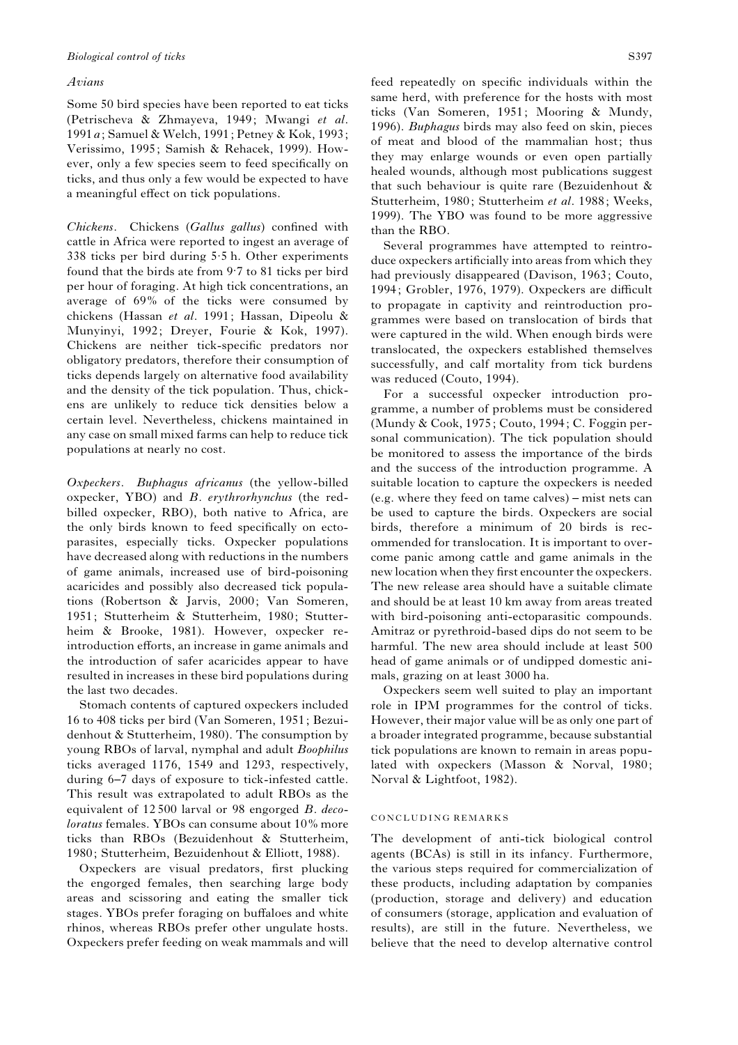### Avians

Some 50 bird species have been reported to eat ticks (Petrischeva & Zhmayeva, 1949; Mwangi et al. 1991a; Samuel & Welch, 1991; Petney & Kok, 1993; Verissimo, 1995; Samish & Rehacek, 1999). However, only a few species seem to feed specifically on ticks, and thus only a few would be expected to have a meaningful effect on tick populations.

Chickens. Chickens (Gallus gallus) confined with cattle in Africa were reported to ingest an average of 338 ticks per bird during 5. 5 h. Other experiments found that the birds ate from 9. 7 to 81 ticks per bird per hour of foraging. At high tick concentrations, an average of 69% of the ticks were consumed by chickens (Hassan et al. 1991; Hassan, Dipeolu & Munyinyi, 1992; Dreyer, Fourie & Kok, 1997). Chickens are neither tick-specific predators nor obligatory predators, therefore their consumption of ticks depends largely on alternative food availability and the density of the tick population. Thus, chickens are unlikely to reduce tick densities below a certain level. Nevertheless, chickens maintained in any case on small mixed farms can help to reduce tick populations at nearly no cost.

Oxpeckers. Buphagus africanus (the yellow-billed oxpecker, YBO) and B. erythrorhynchus (the redbilled oxpecker, RBO), both native to Africa, are the only birds known to feed specifically on ectoparasites, especially ticks. Oxpecker populations have decreased along with reductions in the numbers of game animals, increased use of bird-poisoning acaricides and possibly also decreased tick populations (Robertson & Jarvis, 2000; Van Someren, 1951; Stutterheim & Stutterheim, 1980; Stutterheim & Brooke, 1981). However, oxpecker reintroduction efforts, an increase in game animals and the introduction of safer acaricides appear to have resulted in increases in these bird populations during the last two decades.

Stomach contents of captured oxpeckers included 16 to 408 ticks per bird (Van Someren, 1951; Bezuidenhout & Stutterheim, 1980). The consumption by young RBOs of larval, nymphal and adult Boophilus ticks averaged 1176, 1549 and 1293, respectively, during 6–7 days of exposure to tick-infested cattle. This result was extrapolated to adult RBOs as the equivalent of 12 500 larval or 98 engorged B. decoloratus females. YBOs can consume about 10% more ticks than RBOs (Bezuidenhout & Stutterheim, 1980; Stutterheim, Bezuidenhout & Elliott, 1988).

Oxpeckers are visual predators, first plucking the engorged females, then searching large body areas and scissoring and eating the smaller tick stages. YBOs prefer foraging on buffaloes and white rhinos, whereas RBOs prefer other ungulate hosts. Oxpeckers prefer feeding on weak mammals and will

feed repeatedly on specific individuals within the same herd, with preference for the hosts with most ticks (Van Someren, 1951; Mooring & Mundy, 1996). Buphagus birds may also feed on skin, pieces of meat and blood of the mammalian host; thus they may enlarge wounds or even open partially healed wounds, although most publications suggest that such behaviour is quite rare (Bezuidenhout & Stutterheim, 1980; Stutterheim et al. 1988; Weeks, 1999). The YBO was found to be more aggressive than the RBO.

Several programmes have attempted to reintroduce oxpeckers artificially into areas from which they had previously disappeared (Davison, 1963; Couto, 1994; Grobler, 1976, 1979). Oxpeckers are difficult to propagate in captivity and reintroduction programmes were based on translocation of birds that were captured in the wild. When enough birds were translocated, the oxpeckers established themselves successfully, and calf mortality from tick burdens was reduced (Couto, 1994).

For a successful oxpecker introduction programme, a number of problems must be considered (Mundy & Cook, 1975; Couto, 1994; C. Foggin personal communication). The tick population should be monitored to assess the importance of the birds and the success of the introduction programme. A suitable location to capture the oxpeckers is needed (e.g. where they feed on tame calves) – mist nets can be used to capture the birds. Oxpeckers are social birds, therefore a minimum of 20 birds is recommended for translocation. It is important to overcome panic among cattle and game animals in the new location when they first encounter the oxpeckers. The new release area should have a suitable climate and should be at least 10 km away from areas treated with bird-poisoning anti-ectoparasitic compounds. Amitraz or pyrethroid-based dips do not seem to be harmful. The new area should include at least 500 head of game animals or of undipped domestic animals, grazing on at least 3000 ha.

Oxpeckers seem well suited to play an important role in IPM programmes for the control of ticks. However, their major value will be as only one part of a broader integrated programme, because substantial tick populations are known to remain in areas populated with oxpeckers (Masson & Norval, 1980; Norval & Lightfoot, 1982).

### CONCLUDING REMARKS

The development of anti-tick biological control agents (BCAs) is still in its infancy. Furthermore, the various steps required for commercialization of these products, including adaptation by companies (production, storage and delivery) and education of consumers (storage, application and evaluation of results), are still in the future. Nevertheless, we believe that the need to develop alternative control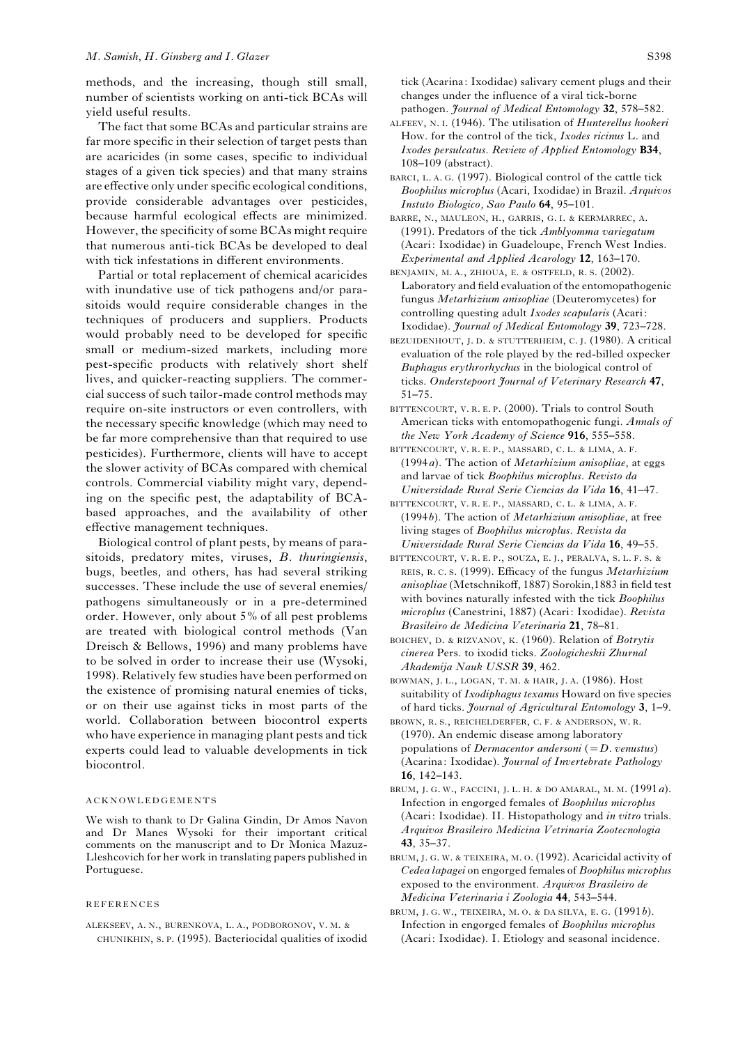methods, and the increasing, though still small, number of scientists working on anti-tick BCAs will yield useful results.

The fact that some BCAs and particular strains are far more specific in their selection of target pests than are acaricides (in some cases, specific to individual stages of a given tick species) and that many strains are effective only under specific ecological conditions, provide considerable advantages over pesticides, because harmful ecological effects are minimized. However, the specificity of some BCAs might require that numerous anti-tick BCAs be developed to deal with tick infestations in different environments.

Partial or total replacement of chemical acaricides with inundative use of tick pathogens and/or parasitoids would require considerable changes in the techniques of producers and suppliers. Products would probably need to be developed for specific small or medium-sized markets, including more pest-specific products with relatively short shelf lives, and quicker-reacting suppliers. The commercial success of such tailor-made control methods may require on-site instructors or even controllers, with the necessary specific knowledge (which may need to be far more comprehensive than that required to use pesticides). Furthermore, clients will have to accept the slower activity of BCAs compared with chemical controls. Commercial viability might vary, depending on the specific pest, the adaptability of BCAbased approaches, and the availability of other effective management techniques.

Biological control of plant pests, by means of parasitoids, predatory mites, viruses, B. thuringiensis, bugs, beetles, and others, has had several striking successes. These include the use of several enemies/ pathogens simultaneously or in a pre-determined order. However, only about 5% of all pest problems are treated with biological control methods (Van Dreisch & Bellows, 1996) and many problems have to be solved in order to increase their use (Wysoki, 1998). Relatively few studies have been performed on the existence of promising natural enemies of ticks, or on their use against ticks in most parts of the world. Collaboration between biocontrol experts who have experience in managing plant pests and tick experts could lead to valuable developments in tick biocontrol.

### ACKNOWLEDGEMENTS

We wish to thank to Dr Galina Gindin, Dr Amos Navon and Dr Manes Wysoki for their important critical comments on the manuscript and to Dr Monica Mazuz-Lleshcovich for her work in translating papers published in Portuguese.

### REFERENCES

ALEKSEEV, A. N., BURENKOVA, L. A., PODBORONOV, V. M. & CHUNIKHIN, S. P. (1995). Bacteriocidal qualities of ixodid tick (Acarina: Ixodidae) salivary cement plugs and their changes under the influence of a viral tick-borne pathogen. Journal of Medical Entomology 32, 578-582.

- ALFEEV, N. I. (1946). The utilisation of Hunterellus hookeri How. for the control of the tick, Ixodes ricinus L. and Ixodes persulcatus. Review of Applied Entomology B34, 108–109 (abstract).
- BARCI, L. A. G. (1997). Biological control of the cattle tick Boophilus microplus (Acari, Ixodidae) in Brazil. Arquivos Instuto Biologico, Sao Paulo 64, 95–101.
- BARRE, N., MAULEON, H., GARRIS, G. I. & KERMARREC, A. (1991). Predators of the tick Amblyomma variegatum (Acari: Ixodidae) in Guadeloupe, French West Indies. Experimental and Applied Acarology 12, 163–170.
- BENJAMIN, M. A., ZHIOUA, E. & OSTFELD, R. S. (2002). Laboratory and field evaluation of the entomopathogenic fungus Metarhizium anisopliae (Deuteromycetes) for controlling questing adult Ixodes scapularis (Acari: Ixodidae). Journal of Medical Entomology 39, 723–728.
- BEZUIDENHOUT, J. D. & STUTTERHEIM, C. J. (1980). A critical evaluation of the role played by the red-billed oxpecker Buphagus erythrorhychus in the biological control of ticks. Onderstepoort Journal of Veterinary Research 47, 51–75.
- BITTENCOURT, V. R. E. P. (2000). Trials to control South American ticks with entomopathogenic fungi. Annals of the New York Academy of Science 916, 555–558.
- BITTENCOURT, V. R. E. P., MASSARD, C. L. & LIMA, A. F. (1994 $a$ ). The action of *Metarhizium anisopliae*, at eggs and larvae of tick Boophilus microplus. Revisto da Universidade Rural Serie Ciencias da Vida 16, 41–47.
- BITTENCOURT, V. R. E. P., MASSARD, C. L. & LIMA, A. F. (1994b). The action of Metarhizium anisopliae, at free living stages of Boophilus microplus. Revista da Universidade Rural Serie Ciencias da Vida 16, 49–55.
- BITTENCOURT, V. R. E. P., SOUZA, E. J., PERALVA, S. L. F. S. & REIS, R. C. S. (1999). Efficacy of the fungus Metarhizium anisopliae (Metschnikoff, 1887) Sorokin,1883 in field test with bovines naturally infested with the tick Boophilus microplus (Canestrini, 1887) (Acari: Ixodidae). Revista Brasileiro de Medicina Veterinaria 21, 78–81.
- BOICHEV, D. & RIZVANOV, K. (1960). Relation of Botrytis cinerea Pers. to ixodid ticks. Zoologicheskii Zhurnal Akademija Nauk USSR 39, 462.
- BOWMAN, J. L., LOGAN, T. M. & HAIR, J. A. (1986). Host suitability of *Ixodiphagus texanus* Howard on five species of hard ticks. Journal of Agricultural Entomology 3, 1–9.
- BROWN, R. S., REICHELDERFER, C. F. & ANDERSON, W. R. (1970). An endemic disease among laboratory populations of *Dermacentor andersoni*  $(=D.$  venustus) (Acarina: Ixodidae). Journal of Invertebrate Pathology 16, 142–143.
- BRUM, J. G. W., FACCINI, J. L. H. & DO AMARAL, M. M. (1991a). Infection in engorged females of Boophilus microplus (Acari: Ixodidae). II. Histopathology and in vitro trials. Arquivos Brasileiro Medicina Vetrinaria Zootecnologia 43, 35–37.
- BRUM, J. G. W. & TEIXEIRA, M. O. (1992). Acaricidal activity of Cedea lapagei on engorged females of Boophilus microplus exposed to the environment. Arquivos Brasileiro de Medicina Veterinaria i Zoologia 44, 543–544.
- BRUM, J. G. W., TEIXEIRA, M. O. & DA SILVA, E. G. (1991b). Infection in engorged females of Boophilus microplus (Acari: Ixodidae). I. Etiology and seasonal incidence.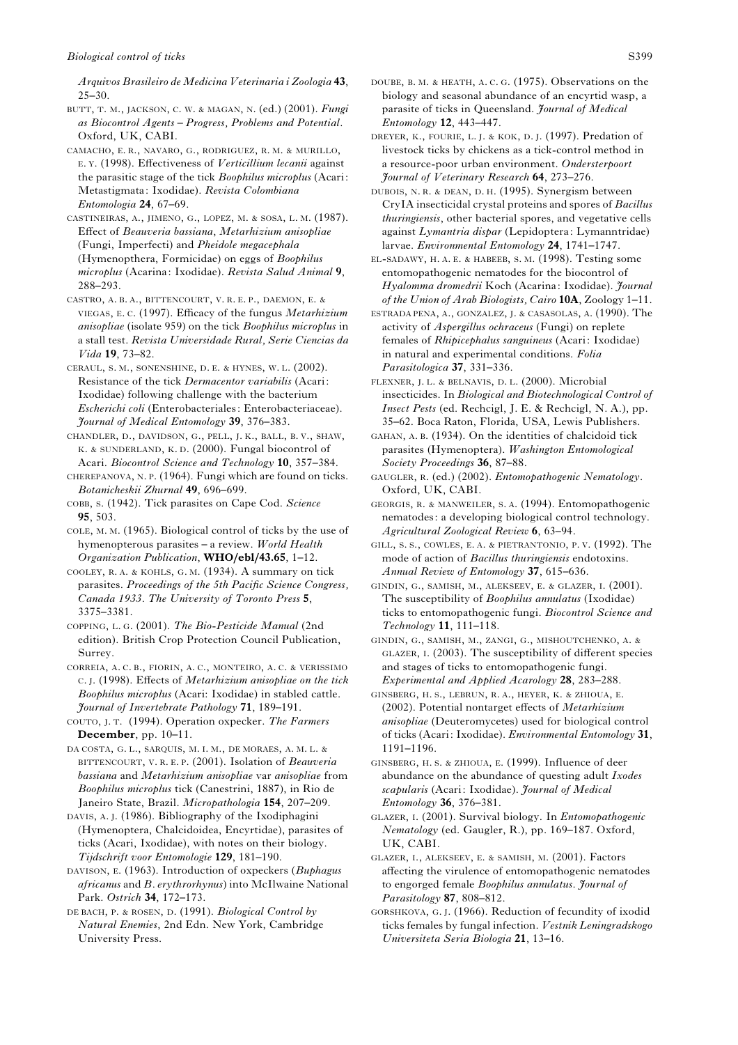Arquivos Brasileiro de Medicina Veterinaria i Zoologia 43, 25–30.

- BUTT, T. M., JACKSON, C. W. & MAGAN, N. (ed.) (2001). Fungi as Biocontrol Agents – Progress, Problems and Potential. Oxford, UK, CABI.
- CAMACHO, E. R., NAVARO, G., RODRIGUEZ, R. M. & MURILLO, E. Y. (1998). Effectiveness of Verticillium lecanii against the parasitic stage of the tick Boophilus microplus (Acari: Metastigmata: Ixodidae). Revista Colombiana Entomologia 24, 67–69.
- CASTINEIRAS, A., JIMENO, G., LOPEZ, M. & SOSA, L. M. (1987). Effect of Beauveria bassiana, Metarhizium anisopliae (Fungi, Imperfecti) and Pheidole megacephala (Hymenopthera, Formicidae) on eggs of Boophilus microplus (Acarina: Ixodidae). Revista Salud Animal 9, 288–293.
- CASTRO, A. B. A., BITTENCOURT, V. R. E. P., DAEMON, E. & VIEGAS, E. C. (1997). Efficacy of the fungus Metarhizium anisopliae (isolate 959) on the tick Boophilus microplus in a stall test. Revista Universidade Rural, Serie Ciencias da Vida 19, 73–82.
- CERAUL, S. M., SONENSHINE, D. E. & HYNES, W. L. (2002). Resistance of the tick Dermacentor variabilis (Acari: Ixodidae) following challenge with the bacterium Escherichi coli (Enterobacteriales: Enterobacteriaceae). Journal of Medical Entomology 39, 376–383.
- CHANDLER, D., DAVIDSON, G., PELL, J. K., BALL, B. V., SHAW, K. & SUNDERLAND, K. D. (2000). Fungal biocontrol of Acari. Biocontrol Science and Technology 10, 357–384.
- CHEREPANOVA, N. P. (1964). Fungi which are found on ticks. Botanicheskii Zhurnal 49, 696–699.
- COBB, S. (1942). Tick parasites on Cape Cod. Science 95, 503.
- COLE, M. M. (1965). Biological control of ticks by the use of hymenopterous parasites – a review. World Health Organization Publication, WHO/ebl/43.65, 1–12.
- COOLEY, R. A. & KOHLS, G. M. (1934). A summary on tick parasites. Proceedings of the 5th Pacific Science Congress, Canada 1933. The University of Toronto Press 5, 3375–3381.
- COPPING, L. G. (2001). The Bio-Pesticide Manual (2nd edition). British Crop Protection Council Publication, Surrey.
- CORREIA, A. C. B., FIORIN, A. C., MONTEIRO, A. C. & VERISSIMO C. J. (1998). Effects of Metarhizium anisopliae on the tick Boophilus microplus (Acari: Ixodidae) in stabled cattle. Journal of Invertebrate Pathology 71, 189–191.
- COUTO, J. T. (1994). Operation oxpecker. The Farmers December, pp. 10–11.
- DA COSTA, G. L., SARQUIS, M. I. M., DE MORAES, A. M. L. & BITTENCOURT, V. R. E. P. (2001). Isolation of Beauveria bassiana and Metarhizium anisopliae var anisopliae from Boophilus microplus tick (Canestrini, 1887), in Rio de Janeiro State, Brazil. Micropathologia 154, 207–209.
- DAVIS, A. J. (1986). Bibliography of the Ixodiphagini (Hymenoptera, Chalcidoidea, Encyrtidae), parasites of ticks (Acari, Ixodidae), with notes on their biology. Tijdschrift voor Entomologie 129, 181–190.
- DAVISON, E. (1963). Introduction of oxpeckers (Buphagus africanus and B. erythrorhynus) into McIlwaine National Park. Ostrich 34, 172–173.
- DE BACH, P. & ROSEN, D. (1991). Biological Control by Natural Enemies, 2nd Edn. New York, Cambridge University Press.
- DOUBE, B. M. & HEATH, A. C. G. (1975). Observations on the biology and seasonal abundance of an encyrtid wasp, a parasite of ticks in Queensland. Journal of Medical Entomology 12, 443–447.
- DREYER, K., FOURIE, L. J. & KOK, D. J. (1997). Predation of livestock ticks by chickens as a tick-control method in a resource-poor urban environment. Ondersterpoort Journal of Veterinary Research 64, 273–276.
- DUBOIS, N. R. & DEAN, D. H. (1995). Synergism between CryIA insecticidal crystal proteins and spores of Bacillus thuringiensis, other bacterial spores, and vegetative cells against Lymantria dispar (Lepidoptera: Lymanntridae) larvae. Environmental Entomology 24, 1741–1747.
- EL-SADAWY, H. A. E. & HABEEB, S. M. (1998). Testing some entomopathogenic nematodes for the biocontrol of Hyalomma dromedrii Koch (Acarina: Ixodidae). Journal of the Union of Arab Biologists, Cairo 10A, Zoology 1–11.
- ESTRADA PENA, A., GONZALEZ, J. & CASASOLAS, A. (1990). The activity of Aspergillus ochraceus (Fungi) on replete females of Rhipicephalus sanguineus (Acari: Ixodidae) in natural and experimental conditions. Folia Parasitologica 37, 331–336.
- FLEXNER, J. L. & BELNAVIS, D. L. (2000). Microbial insecticides. In Biological and Biotechnological Control of Insect Pests (ed. Rechcigl, J. E. & Rechcigl, N. A.), pp. 35–62. Boca Raton, Florida, USA, Lewis Publishers.
- GAHAN, A. B. (1934). On the identities of chalcidoid tick parasites (Hymenoptera). Washington Entomological Society Proceedings 36, 87–88.
- GAUGLER, R. (ed.) (2002). Entomopathogenic Nematology. Oxford, UK, CABI.
- GEORGIS, R. & MANWEILER, S. A. (1994). Entomopathogenic nematodes: a developing biological control technology. Agricultural Zoological Review 6, 63–94.
- GILL, S. S., COWLES, E. A. & PIETRANTONIO, P. V. (1992). The mode of action of Bacillus thuringiensis endotoxins. Annual Review of Entomology 37, 615–636.
- GINDIN, G., SAMISH, M., ALEKSEEV, E. & GLAZER, I. (2001). The susceptibility of Boophilus annulatus (Ixodidae) ticks to entomopathogenic fungi. Biocontrol Science and Technology 11, 111–118.
- GINDIN, G., SAMISH, M., ZANGI, G., MISHOUTCHENKO, A. & GLAZER, I. (2003). The susceptibility of different species and stages of ticks to entomopathogenic fungi. Experimental and Applied Acarology 28, 283–288.
- GINSBERG, H. S., LEBRUN, R. A., HEYER, K. & ZHIOUA, E. (2002). Potential nontarget effects of Metarhizium anisopliae (Deuteromycetes) used for biological control of ticks (Acari: Ixodidae). Environmental Entomology 31, 1191–1196.
- GINSBERG, H. S. & ZHIOUA, E. (1999). Influence of deer abundance on the abundance of questing adult Ixodes scapularis (Acari: Ixodidae). Journal of Medical Entomology 36, 376–381.
- GLAZER, I. (2001). Survival biology. In Entomopathogenic Nematology (ed. Gaugler, R.), pp. 169–187. Oxford, UK, CABI.
- GLAZER, I., ALEKSEEV, E. & SAMISH, M. (2001). Factors affecting the virulence of entomopathogenic nematodes to engorged female Boophilus annulatus. Journal of Parasitology 87, 808-812.
- GORSHKOVA, G. J. (1966). Reduction of fecundity of ixodid ticks females by fungal infection. Vestnik Leningradskogo Universiteta Seria Biologia 21, 13–16.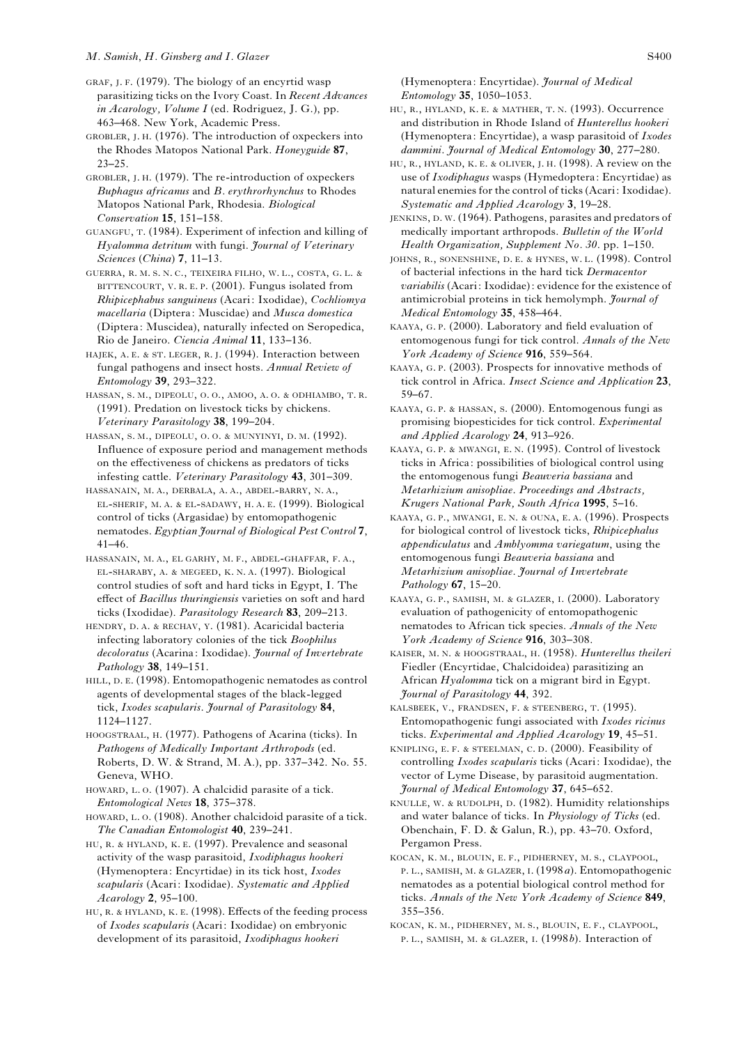GRAF, J. F. (1979). The biology of an encyrtid wasp parasitizing ticks on the Ivory Coast. In Recent Advances in Acarology, Volume I (ed. Rodriguez, J. G.), pp. 463–468. New York, Academic Press.

GROBLER, J. H. (1976). The introduction of oxpeckers into the Rhodes Matopos National Park. Honeyguide 87, 23–25.

GROBLER, J. H. (1979). The re-introduction of oxpeckers Buphagus africanus and B. erythrorhynchus to Rhodes Matopos National Park, Rhodesia. Biological Conservation 15, 151–158.

GUANGFU, T. (1984). Experiment of infection and killing of Hyalomma detritum with fungi. Journal of Veterinary Sciences (China) 7, 11–13.

GUERRA, R. M. S. N. C., TEIXEIRA FILHO, W. L., COSTA, G. L. & BITTENCOURT, V. R. E. P. (2001). Fungus isolated from Rhipicephabus sanguineus (Acari: Ixodidae), Cochliomya macellaria (Diptera: Muscidae) and Musca domestica (Diptera: Muscidea), naturally infected on Seropedica, Rio de Janeiro. Ciencia Animal 11, 133–136.

HAJEK, A. E. & ST. LEGER, R. J. (1994). Interaction between fungal pathogens and insect hosts. Annual Review of Entomology 39, 293–322.

HASSAN, S. M., DIPEOLU, O. O., AMOO, A. O. & ODHIAMBO, T. R. (1991). Predation on livestock ticks by chickens. Veterinary Parasitology 38, 199–204.

HASSAN, S. M., DIPEOLU, O. O. & MUNYINYI, D. M. (1992). Influence of exposure period and management methods on the effectiveness of chickens as predators of ticks infesting cattle. Veterinary Parasitology 43, 301–309.

HASSANAIN, M. A., DERBALA, A. A., ABDEL-BARRY, N. A., EL-SHERIF, M. A. & EL-SADAWY, H. A. E. (1999). Biological control of ticks (Argasidae) by entomopathogenic nematodes. Egyptian Journal of Biological Pest Control 7, 41–46.

HASSANAIN, M. A., EL GARHY, M. F., ABDEL-GHAFFAR, F. A., EL-SHARABY, A. & MEGEED, K. N. A. (1997). Biological control studies of soft and hard ticks in Egypt, I. The effect of Bacillus thuringiensis varieties on soft and hard ticks (Ixodidae). Parasitology Research 83, 209–213.

HENDRY, D. A. & RECHAV, Y. (1981). Acaricidal bacteria infecting laboratory colonies of the tick Boophilus decoloratus (Acarina: Ixodidae). Journal of Invertebrate Pathology 38, 149–151.

HILL, D. E. (1998). Entomopathogenic nematodes as control agents of developmental stages of the black-legged tick, Ixodes scapularis. Journal of Parasitology 84, 1124–1127.

HOOGSTRAAL, H. (1977). Pathogens of Acarina (ticks). In Pathogens of Medically Important Arthropods (ed. Roberts, D. W. & Strand, M. A.), pp. 337–342. No. 55. Geneva, WHO.

HOWARD, L. O. (1907). A chalcidid parasite of a tick. Entomological News 18, 375–378.

HOWARD, L. O. (1908). Another chalcidoid parasite of a tick. The Canadian Entomologist 40, 239–241.

HU, R. & HYLAND, K. E. (1997). Prevalence and seasonal activity of the wasp parasitoid, Ixodiphagus hookeri (Hymenoptera: Encyrtidae) in its tick host, Ixodes scapularis (Acari: Ixodidae). Systematic and Applied Acarology 2, 95–100.

HU, R. & HYLAND, K. E. (1998). Effects of the feeding process of Ixodes scapularis (Acari: Ixodidae) on embryonic development of its parasitoid, Ixodiphagus hookeri

(Hymenoptera: Encyrtidae). Journal of Medical Entomology 35, 1050–1053.

HU, R., HYLAND, K. E. & MATHER, T. N. (1993). Occurrence and distribution in Rhode Island of Hunterellus hookeri (Hymenoptera: Encyrtidae), a wasp parasitoid of Ixodes dammini. Journal of Medical Entomology 30, 277-280.

HU, R., HYLAND, K. E. & OLIVER, J. H. (1998). A review on the use of Ixodiphagus wasps (Hymedoptera: Encyrtidae) as natural enemies for the control of ticks (Acari: Ixodidae). Systematic and Applied Acarology 3, 19–28.

JENKINS, D. W. (1964). Pathogens, parasites and predators of medically important arthropods. Bulletin of the World Health Organization, Supplement No. 30. pp. 1–150.

JOHNS, R., SONENSHINE, D. E. & HYNES, W. L. (1998). Control of bacterial infections in the hard tick Dermacentor variabilis (Acari: Ixodidae): evidence for the existence of antimicrobial proteins in tick hemolymph. Journal of Medical Entomology 35, 458–464.

KAAYA, G. P. (2000). Laboratory and field evaluation of entomogenous fungi for tick control. Annals of the New York Academy of Science 916, 559-564.

KAAYA, G. P. (2003). Prospects for innovative methods of tick control in Africa. Insect Science and Application 23, 59–67.

KAAYA, G. P. & HASSAN, S. (2000). Entomogenous fungi as promising biopesticides for tick control. Experimental and Applied Acarology 24, 913–926.

KAAYA, G. P. & MWANGI, E. N. (1995). Control of livestock ticks in Africa: possibilities of biological control using the entomogenous fungi Beauveria bassiana and Metarhizium anisopliae. Proceedings and Abstracts, Krugers National Park, South Africa 1995, 5–16.

KAAYA, G. P., MWANGI, E. N. & OUNA, E. A. (1996). Prospects for biological control of livestock ticks, Rhipicephalus appendiculatus and Amblyomma variegatum, using the entomogenous fungi Beauveria bassiana and Metarhizium anisopliae. Journal of Invertebrate Pathology 67, 15–20.

KAAYA, G. P., SAMISH, M. & GLAZER, I. (2000). Laboratory evaluation of pathogenicity of entomopathogenic nematodes to African tick species. Annals of the New York Academy of Science 916, 303-308.

KAISER, M. N. & HOOGSTRAAL, H. (1958). Hunterellus theileri Fiedler (Encyrtidae, Chalcidoidea) parasitizing an African Hyalomma tick on a migrant bird in Egypt. Journal of Parasitology 44, 392.

KALSBEEK, V., FRANDSEN, F. & STEENBERG, T. (1995). Entomopathogenic fungi associated with Ixodes ricinus ticks. Experimental and Applied Acarology 19, 45–51.

KNIPLING, E. F. & STEELMAN, C. D. (2000). Feasibility of controlling Ixodes scapularis ticks (Acari: Ixodidae), the vector of Lyme Disease, by parasitoid augmentation. Journal of Medical Entomology 37, 645–652.

KNULLE, W. & RUDOLPH, D. (1982). Humidity relationships and water balance of ticks. In Physiology of Ticks (ed. Obenchain, F. D. & Galun, R.), pp. 43–70. Oxford, Pergamon Press.

KOCAN, K. M., BLOUIN, E. F., PIDHERNEY, M. S., CLAYPOOL, P. L., SAMISH, M. & GLAZER, I. (1998a). Entomopathogenic nematodes as a potential biological control method for ticks. Annals of the New York Academy of Science 849, 355–356.

KOCAN, K. M., PIDHERNEY, M. S., BLOUIN, E. F., CLAYPOOL, P. L., SAMISH, M. & GLAZER, I. (1998b). Interaction of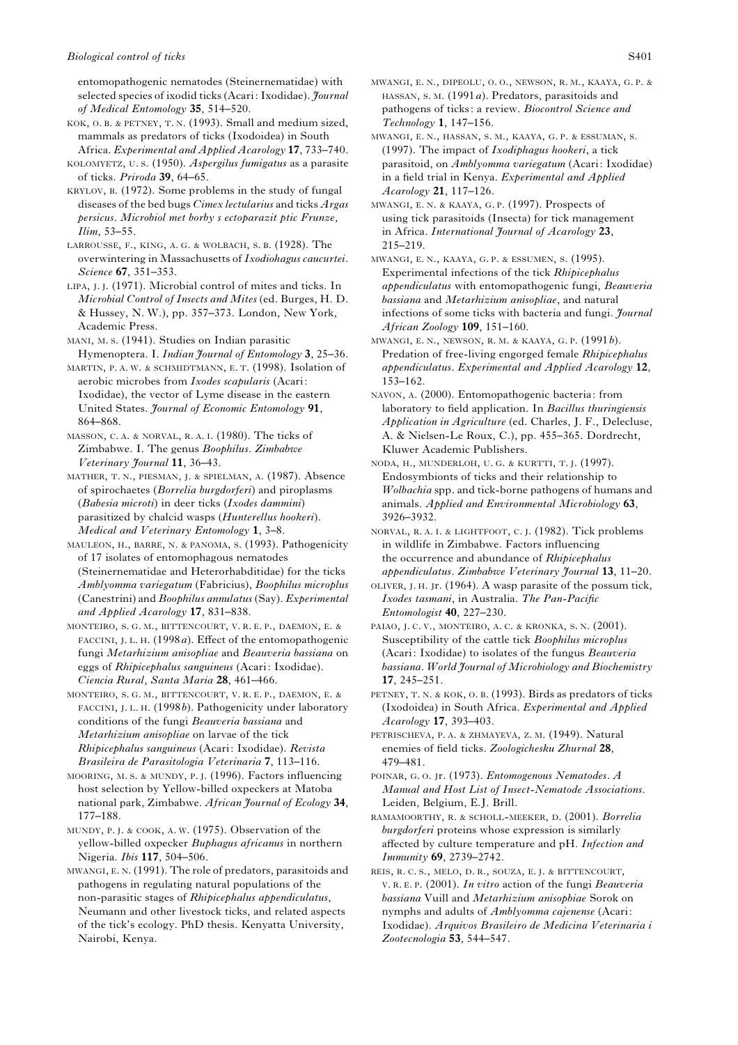### Biological control of ticks S401

entomopathogenic nematodes (Steinernematidae) with selected species of ixodid ticks (Acari: Ixodidae). Journal of Medical Entomology 35, 514–520.

- KOK, O. B. & PETNEY, T. N. (1993). Small and medium sized, mammals as predators of ticks (Ixodoidea) in South
- Africa. Experimental and Applied Acarology 17, 733–740. KOLOMYETZ, U. S. (1950). Aspergilus fumigatus as a parasite of ticks. Priroda 39, 64–65.

KRYLOV, B. (1972). Some problems in the study of fungal diseases of the bed bugs Cimex lectularius and ticks Argas persicus. Microbiol met borby s ectoparazit ptic Frunze, Ilim, 53–55.

- LARROUSSE, F., KING, A. G. & WOLBACH, S. B. (1928). The overwintering in Massachusetts of Ixodiohagus caucurtei. Science 67, 351–353.
- LIPA, J. J. (1971). Microbial control of mites and ticks. In Microbial Control of Insects and Mites (ed. Burges, H. D. & Hussey, N. W.), pp. 357–373. London, New York, Academic Press.
- MANI, M. S. (1941). Studies on Indian parasitic Hymenoptera. I. Indian Journal of Entomology 3, 25-36.

MARTIN, P. A. W. & SCHMIDTMANN, E. T. (1998). Isolation of aerobic microbes from Ixodes scapularis (Acari: Ixodidae), the vector of Lyme disease in the eastern United States. Journal of Economic Entomology 91, 864–868.

MASSON, C. A. & NORVAL, R. A. I. (1980). The ticks of Zimbabwe. I. The genus Boophilus. Zimbabwe Veterinary Journal 11, 36–43.

MATHER, T. N., PIESMAN, J. & SPIELMAN, A. (1987). Absence of spirochaetes (Borrelia burgdorferi) and piroplasms (Babesia microti) in deer ticks (Ixodes dammini) parasitized by chalcid wasps (Hunterellus hookeri). Medical and Veterinary Entomology 1, 3–8.

MAULEON, H., BARRE, N. & PANOMA, S. (1993). Pathogenicity of 17 isolates of entomophagous nematodes (Steinernematidae and Heterorhabditidae) for the ticks Amblyomma variegatum (Fabricius), Boophilus microplus (Canestrini) and Boophilus annulatus (Say). Experimental and Applied Acarology 17, 831–838.

MONTEIRO, S. G. M., BITTENCOURT, V. R. E. P., DAEMON, E. & FACCINI, J. L. H. (1998a). Effect of the entomopathogenic fungi Metarhizium anisopliae and Beauveria bassiana on eggs of Rhipicephalus sanguineus (Acari: Ixodidae). Ciencia Rural, Santa Maria 28, 461–466.

MONTEIRO, S. G. M., BITTENCOURT, V. R. E. P., DAEMON, E. & FACCINI, J. L. H. (1998b). Pathogenicity under laboratory conditions of the fungi Beauveria bassiana and Metarhizium anisopliae on larvae of the tick Rhipicephalus sanguineus (Acari: Ixodidae). Revista Brasileira de Parasitologia Veterinaria 7, 113–116.

MOORING, M. S. & MUNDY, P. J. (1996). Factors influencing host selection by Yellow-billed oxpeckers at Matoba national park, Zimbabwe. African Journal of Ecology 34, 177–188.

MUNDY, P. J. & COOK, A. W. (1975). Observation of the yellow-billed oxpecker Buphagus africanus in northern Nigeria. Ibis 117, 504–506.

MWANGI, E. N. (1991). The role of predators, parasitoids and pathogens in regulating natural populations of the non-parasitic stages of Rhipicephalus appendiculatus, Neumann and other livestock ticks, and related aspects of the tick's ecology. PhD thesis. Kenyatta University, Nairobi, Kenya.

MWANGI, E. N., DIPEOLU, O. O., NEWSON, R. M., KAAYA, G. P. & HASSAN, S. M. (1991a). Predators, parasitoids and pathogens of ticks: a review. Biocontrol Science and Technology 1, 147–156.

MWANGI, E. N., HASSAN, S. M., KAAYA, G. P. & ESSUMAN, S. (1997). The impact of  $Ixodiphagus$  hookeri, a tick parasitoid, on Amblyomma variegatum (Acari: Ixodidae) in a field trial in Kenya. Experimental and Applied Acarology 21, 117–126.

MWANGI, E. N. & KAAYA, G. P. (1997). Prospects of using tick parasitoids (Insecta) for tick management in Africa. International Journal of Acarology 23, 215–219.

MWANGI, E. N., KAAYA, G. P. & ESSUMEN, S. (1995). Experimental infections of the tick Rhipicephalus appendiculatus with entomopathogenic fungi, Beauveria bassiana and Metarhizium anisopliae, and natural infections of some ticks with bacteria and fungi. Journal African Zoology 109, 151–160.

MWANGI, E. N., NEWSON, R. M. & KAAYA, G. P. (1991b). Predation of free-living engorged female Rhipicephalus appendiculatus. Experimental and Applied Acarology 12, 153–162.

NAVON, A. (2000). Entomopathogenic bacteria: from laboratory to field application. In Bacillus thuringiensis Application in Agriculture (ed. Charles, J. F., Delecluse, A. & Nielsen-Le Roux, C.), pp. 455–365. Dordrecht, Kluwer Academic Publishers.

NODA, H., MUNDERLOH, U. G. & KURTTI, T. J. (1997). Endosymbionts of ticks and their relationship to Wolbachia spp. and tick-borne pathogens of humans and animals. Applied and Environmental Microbiology 63, 3926–3932.

NORVAL, R. A. I. & LIGHTFOOT, C. J. (1982). Tick problems in wildlife in Zimbabwe. Factors influencing the occurrence and abundance of Rhipicephalus appendiculatus. Zimbabwe Veterinary Journal 13, 11–20.

OLIVER, J. H. Jr. (1964). A wasp parasite of the possum tick, Ixodes tasmani, in Australia. The Pan-Pacific Entomologist 40, 227–230.

PAIAO, J. C. V., MONTEIRO, A. C. & KRONKA, S. N. (2001). Susceptibility of the cattle tick Boophilus microplus (Acari: Ixodidae) to isolates of the fungus Beauveria bassiana. World Journal of Microbiology and Biochemistry 17, 245–251.

PETNEY, T. N. & KOK, O. B. (1993). Birds as predators of ticks (Ixodoidea) in South Africa. Experimental and Applied Acarology 17, 393–403.

PETRISCHEVA, P. A. & ZHMAYEVA, Z. M. (1949). Natural enemies of field ticks. Zoologichesku Zhurnal 28, 479–481.

POINAR, G. O. Jr. (1973). Entomogenous Nematodes. A Manual and Host List of Insect-Nematode Associations. Leiden, Belgium, E.J. Brill.

RAMAMOORTHY, R. & SCHOLL-MEEKER, D. (2001). Borrelia burgdorferi proteins whose expression is similarly affected by culture temperature and pH. Infection and Immunity 69, 2739–2742.

REIS, R. C. S., MELO, D. R., SOUZA, E. J. & BITTENCOURT, V. R. E. P. (2001). In vitro action of the fungi Beauveria bassiana Vuill and Metarhizium anisopbiae Sorok on nymphs and adults of Amblyomma cajenense (Acari: Ixodidae). Arquivos Brasileiro de Medicina Veterinaria i Zootecnologia 53, 544–547.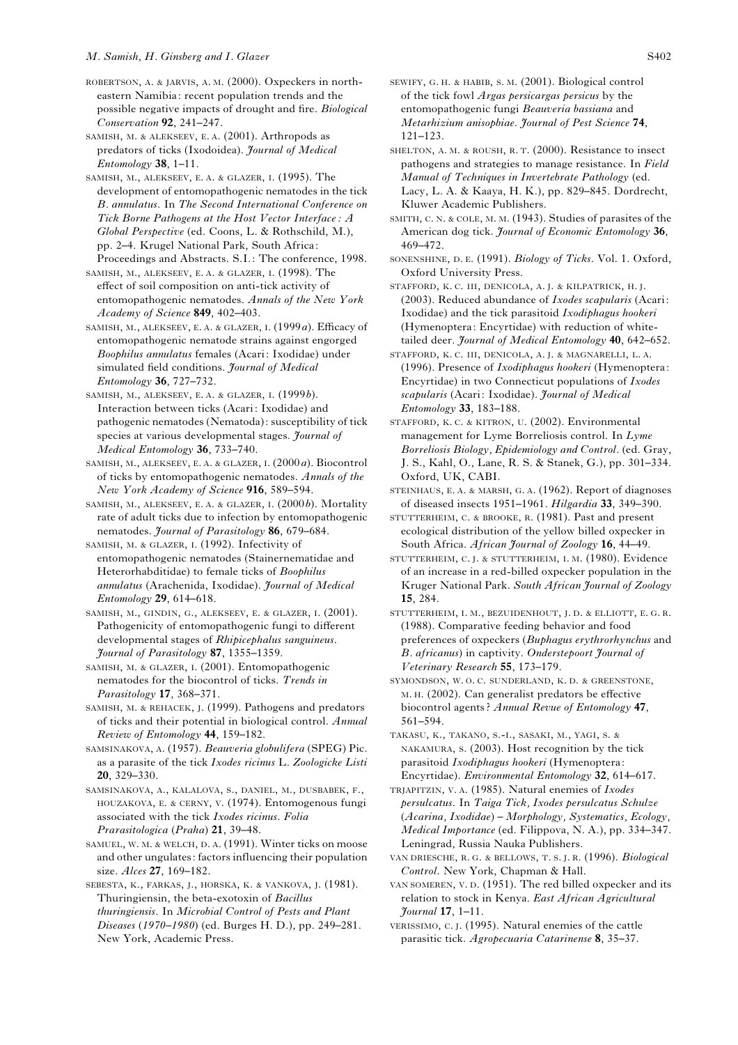ROBERTSON, A. & JARVIS, A. M. (2000). Oxpeckers in northeastern Namibia: recent population trends and the possible negative impacts of drought and fire. Biological Conservation 92, 241–247.

SAMISH, M. & ALEKSEEV, E. A. (2001). Arthropods as predators of ticks (Ixodoidea). Journal of Medical Entomology 38, 1–11.

SAMISH, M., ALEKSEEV, E. A. & GLAZER, I. (1995). The development of entomopathogenic nematodes in the tick B. annulatus. In The Second International Conference on Tick Borne Pathogens at the Host Vector Interface : A Global Perspective (ed. Coons, L. & Rothschild, M.), pp. 2–4. Krugel National Park, South Africa: Proceedings and Abstracts. S.I.: The conference, 1998.

SAMISH, M., ALEKSEEV, E. A. & GLAZER, I. (1998). The effect of soil composition on anti-tick activity of entomopathogenic nematodes. Annals of the New York Academy of Science 849, 402–403.

SAMISH, M., ALEKSEEV, E. A. & GLAZER, I. (1999a). Efficacy of entomopathogenic nematode strains against engorged Boophilus annulatus females (Acari: Ixodidae) under simulated field conditions. Journal of Medical Entomology 36, 727–732.

SAMISH, M., ALEKSEEV, E. A. & GLAZER, I. (1999b). Interaction between ticks (Acari: Ixodidae) and pathogenic nematodes (Nematoda): susceptibility of tick species at various developmental stages. Journal of Medical Entomology 36, 733–740.

SAMISH, M., ALEKSEEV, E. A. & GLAZER, I. (2000a). Biocontrol of ticks by entomopathogenic nematodes. Annals of the New York Academy of Science 916, 589–594.

SAMISH, M., ALEKSEEV, E. A. & GLAZER, I. (2000b). Mortality rate of adult ticks due to infection by entomopathogenic nematodes. Journal of Parasitology 86, 679–684.

SAMISH, M. & GLAZER, I. (1992). Infectivity of entomopathogenic nematodes (Stainernematidae and Heterorhabditidae) to female ticks of Boophilus annulatus (Arachenida, Ixodidae). Journal of Medical Entomology 29, 614–618.

SAMISH, M., GINDIN, G., ALEKSEEV, E. & GLAZER, I. (2001). Pathogenicity of entomopathogenic fungi to different developmental stages of Rhipicephalus sanguineus. Journal of Parasitology 87, 1355–1359.

SAMISH, M. & GLAZER, I. (2001). Entomopathogenic nematodes for the biocontrol of ticks. Trends in Parasitology 17, 368–371.

SAMISH, M. & REHACEK, J. (1999). Pathogens and predators of ticks and their potential in biological control. Annual Review of Entomology 44, 159–182.

SAMSINAKOVA, A. (1957). Beauveria globulifera (SPEG) Pic. as a parasite of the tick Ixodes ricinus L. Zoologicke Listi 20, 329–330.

SAMSINAKOVA, A., KALALOVA, S., DANIEL, M., DUSBABEK, F., HOUZAKOVA, E. & CERNY, V. (1974). Entomogenous fungi associated with the tick Ixodes ricinus. Folia Prarasitologica (Praha) 21, 39–48.

SAMUEL, W. M. & WELCH, D. A. (1991). Winter ticks on moose and other ungulates: factors influencing their population size. Alces 27, 169-182.

SEBESTA, K., FARKAS, J., HORSKA, K. & VANKOVA, J. (1981). Thuringiensin, the beta-exotoxin of Bacillus thuringiensis. In Microbial Control of Pests and Plant Diseases (1970–1980) (ed. Burges H. D.), pp. 249–281. New York, Academic Press.

SEWIFY, G. H. & HABIB, S. M. (2001). Biological control of the tick fowl Argas persicargas persicus by the entomopathogenic fungi Beauveria bassiana and Metarhizium anisopbiae. Journal of Pest Science 74, 121–123.

SHELTON, A. M. & ROUSH, R. T. (2000). Resistance to insect pathogens and strategies to manage resistance. In Field Manual of Techniques in Invertebrate Pathology (ed. Lacy, L. A. & Kaaya, H. K.), pp. 829–845. Dordrecht, Kluwer Academic Publishers.

SMITH, C. N. & COLE, M. M. (1943). Studies of parasites of the American dog tick. Journal of Economic Entomology 36, 469–472.

SONENSHINE, D. E. (1991). Biology of Ticks. Vol. 1. Oxford, Oxford University Press.

STAFFORD, K. C. III, DENICOLA, A. J. & KILPATRICK, H. J. (2003). Reduced abundance of Ixodes scapularis (Acari: Ixodidae) and the tick parasitoid Ixodiphagus hookeri (Hymenoptera: Encyrtidae) with reduction of whitetailed deer. Journal of Medical Entomology 40, 642-652.

STAFFORD, K. C. III, DENICOLA, A. J. & MAGNARELLI, L. A. (1996). Presence of Ixodiphagus hookeri (Hymenoptera: Encyrtidae) in two Connecticut populations of Ixodes scapularis (Acari: Ixodidae). Journal of Medical Entomology 33, 183–188.

STAFFORD, K. C. & KITRON, U. (2002). Environmental management for Lyme Borreliosis control. In Lyme Borreliosis Biology, Epidemiology and Control. (ed. Gray, J. S., Kahl, O., Lane, R. S. & Stanek, G.), pp. 301–334. Oxford, UK, CABI.

STEINHAUS, E. A. & MARSH, G. A. (1962). Report of diagnoses of diseased insects 1951–1961. Hilgardia 33, 349–390.

STUTTERHEIM, C. & BROOKE, R. (1981). Past and present ecological distribution of the yellow billed oxpecker in South Africa. African Journal of Zoology 16, 44–49.

STUTTERHEIM, C. J. & STUTTERHEIM, I. M. (1980). Evidence of an increase in a red-billed oxpecker population in the Kruger National Park. South African Journal of Zoology 15, 284.

STUTTERHEIM, I. M., BEZUIDENHOUT, J. D. & ELLIOTT, E. G. R. (1988). Comparative feeding behavior and food preferences of oxpeckers (Buphagus erythrorhynchus and B. africanus) in captivity. Onderstepoort Journal of Veterinary Research 55, 173–179.

SYMONDSON, W. O. C. SUNDERLAND, K. D. & GREENSTONE, M. H. (2002). Can generalist predators be effective biocontrol agents ? Annual Revue of Entomology 47, 561–594.

TAKASU, K., TAKANO, S.-I., SASAKI, M., YAGI, S. & NAKAMURA, S. (2003). Host recognition by the tick parasitoid Ixodiphagus hookeri (Hymenoptera: Encyrtidae). Environmental Entomology 32, 614–617.

TRJAPITZIN, V. A. (1985). Natural enemies of Ixodes persulcatus. In Taiga Tick, Ixodes persulcatus Schulze (Acarina, Ixodidae) – Morphology, Systematics, Ecology, Medical Importance (ed. Filippova, N. A.), pp. 334–347. Leningrad, Russia Nauka Publishers.

VAN DRIESCHE, R. G. & BELLOWS, T. S. J. R. (1996). Biological Control. New York, Chapman & Hall.

VAN SOMEREN, V. D. (1951). The red billed oxpecker and its relation to stock in Kenya. East African Agricultural Journal 17, 1–11.

VERISSIMO, C. J. (1995). Natural enemies of the cattle parasitic tick. Agropecuaria Catarinense 8, 35–37.